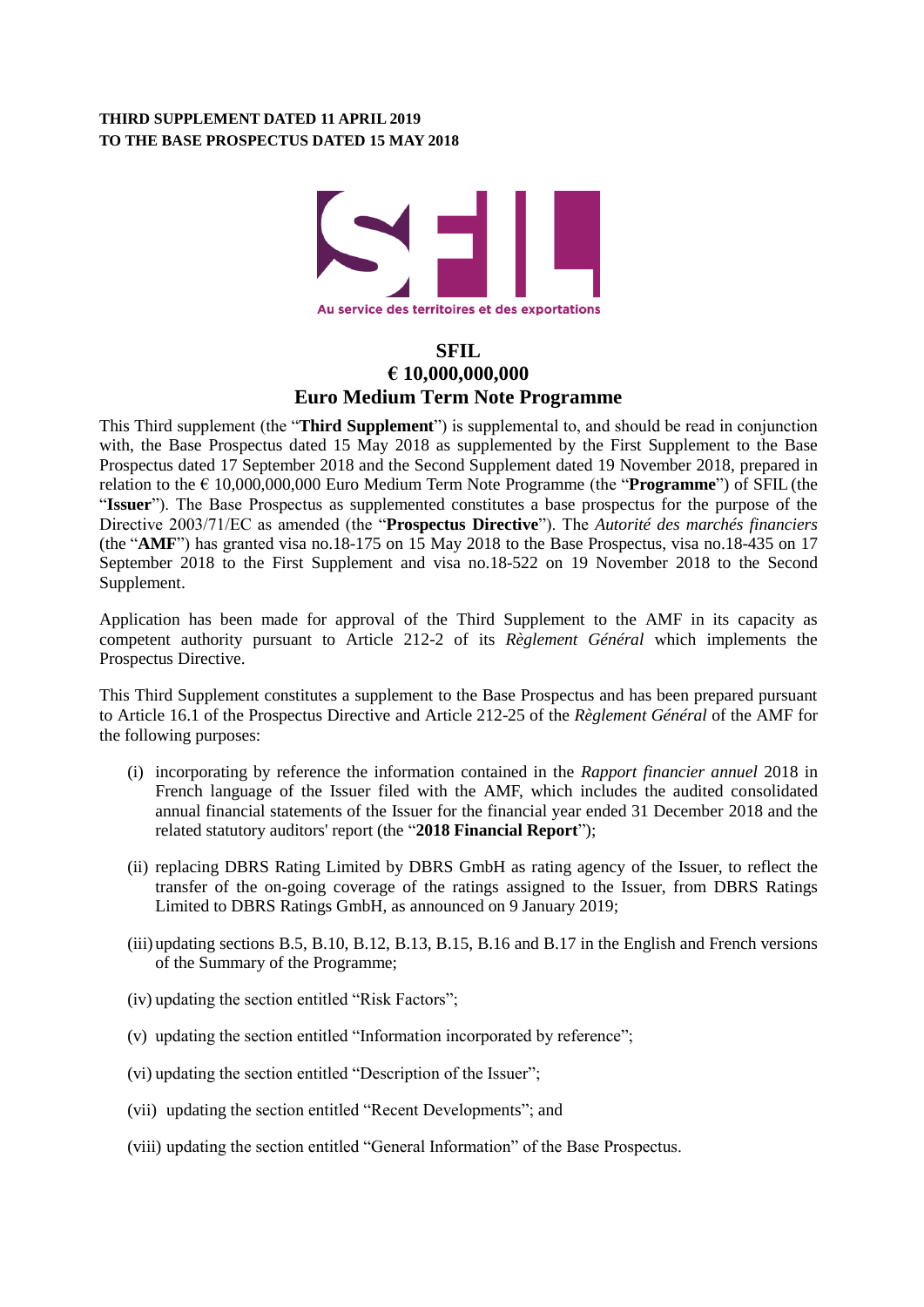### **THIRD SUPPLEMENT DATED 11 APRIL 2019 TO THE BASE PROSPECTUS DATED 15 MAY 2018**



# **SFIL € 10,000,000,000 Euro Medium Term Note Programme**

This Third supplement (the "**Third Supplement**") is supplemental to, and should be read in conjunction with, the Base Prospectus dated 15 May 2018 as supplemented by the First Supplement to the Base Prospectus dated 17 September 2018 and the Second Supplement dated 19 November 2018, prepared in relation to the € 10,000,000,000 Euro Medium Term Note Programme (the "**Programme**") of SFIL (the "**Issuer**"). The Base Prospectus as supplemented constitutes a base prospectus for the purpose of the Directive 2003/71/EC as amended (the "**Prospectus Directive**"). The *Autorité des marchés financiers* (the "**AMF**") has granted visa no.18-175 on 15 May 2018 to the Base Prospectus, visa no.18-435 on 17 September 2018 to the First Supplement and visa no.18-522 on 19 November 2018 to the Second Supplement.

Application has been made for approval of the Third Supplement to the AMF in its capacity as competent authority pursuant to Article 212-2 of its *Règlement Général* which implements the Prospectus Directive.

This Third Supplement constitutes a supplement to the Base Prospectus and has been prepared pursuant to Article 16.1 of the Prospectus Directive and Article 212-25 of the *Règlement Général* of the AMF for the following purposes:

- (i) incorporating by reference the information contained in the *Rapport financier annuel* 2018 in French language of the Issuer filed with the AMF, which includes the audited consolidated annual financial statements of the Issuer for the financial year ended 31 December 2018 and the related statutory auditors' report (the "**2018 Financial Report**");
- (ii) replacing DBRS Rating Limited by DBRS GmbH as rating agency of the Issuer, to reflect the transfer of the on-going coverage of the ratings assigned to the Issuer, from DBRS Ratings Limited to DBRS Ratings GmbH, as announced on 9 January 2019;
- (iii) updating sections B.5, B.10, B.12, B.13, B.15, B.16 and B.17 in the English and French versions of the Summary of the Programme;
- (iv) updating the section entitled "Risk Factors";
- (v) updating the section entitled "Information incorporated by reference";
- (vi) updating the section entitled "Description of the Issuer";
- (vii) updating the section entitled "Recent Developments"; and
- (viii) updating the section entitled "General Information" of the Base Prospectus.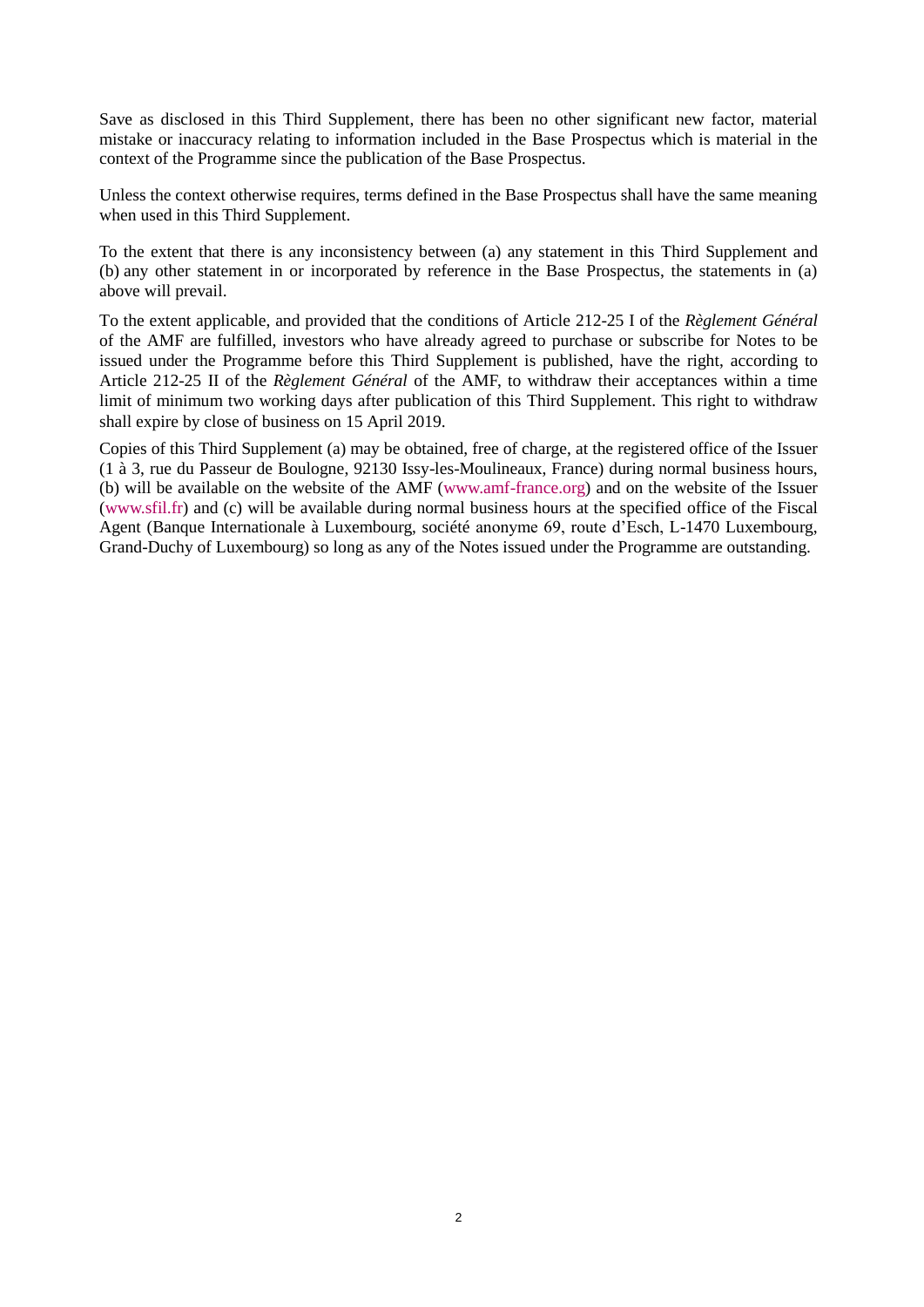Save as disclosed in this Third Supplement, there has been no other significant new factor, material mistake or inaccuracy relating to information included in the Base Prospectus which is material in the context of the Programme since the publication of the Base Prospectus.

Unless the context otherwise requires, terms defined in the Base Prospectus shall have the same meaning when used in this Third Supplement.

To the extent that there is any inconsistency between (a) any statement in this Third Supplement and (b) any other statement in or incorporated by reference in the Base Prospectus, the statements in (a) above will prevail.

To the extent applicable, and provided that the conditions of Article 212-25 I of the *Règlement Général* of the AMF are fulfilled, investors who have already agreed to purchase or subscribe for Notes to be issued under the Programme before this Third Supplement is published, have the right, according to Article 212-25 II of the *Règlement Général* of the AMF, to withdraw their acceptances within a time limit of minimum two working days after publication of this Third Supplement. This right to withdraw shall expire by close of business on 15 April 2019.

Copies of this Third Supplement (a) may be obtained, free of charge, at the registered office of the Issuer (1 à 3, rue du Passeur de Boulogne, 92130 Issy-les-Moulineaux, France) during normal business hours, (b) will be available on the website of the AMF [\(www.amf-france.org\)](http://www.amf-france.org/) and on the website of the Issuer (www.sfil.fr) and (c) will be available during normal business hours at the specified office of the Fiscal Agent (Banque Internationale à Luxembourg, société anonyme 69, route d'Esch, L-1470 Luxembourg, Grand-Duchy of Luxembourg) so long as any of the Notes issued under the Programme are outstanding.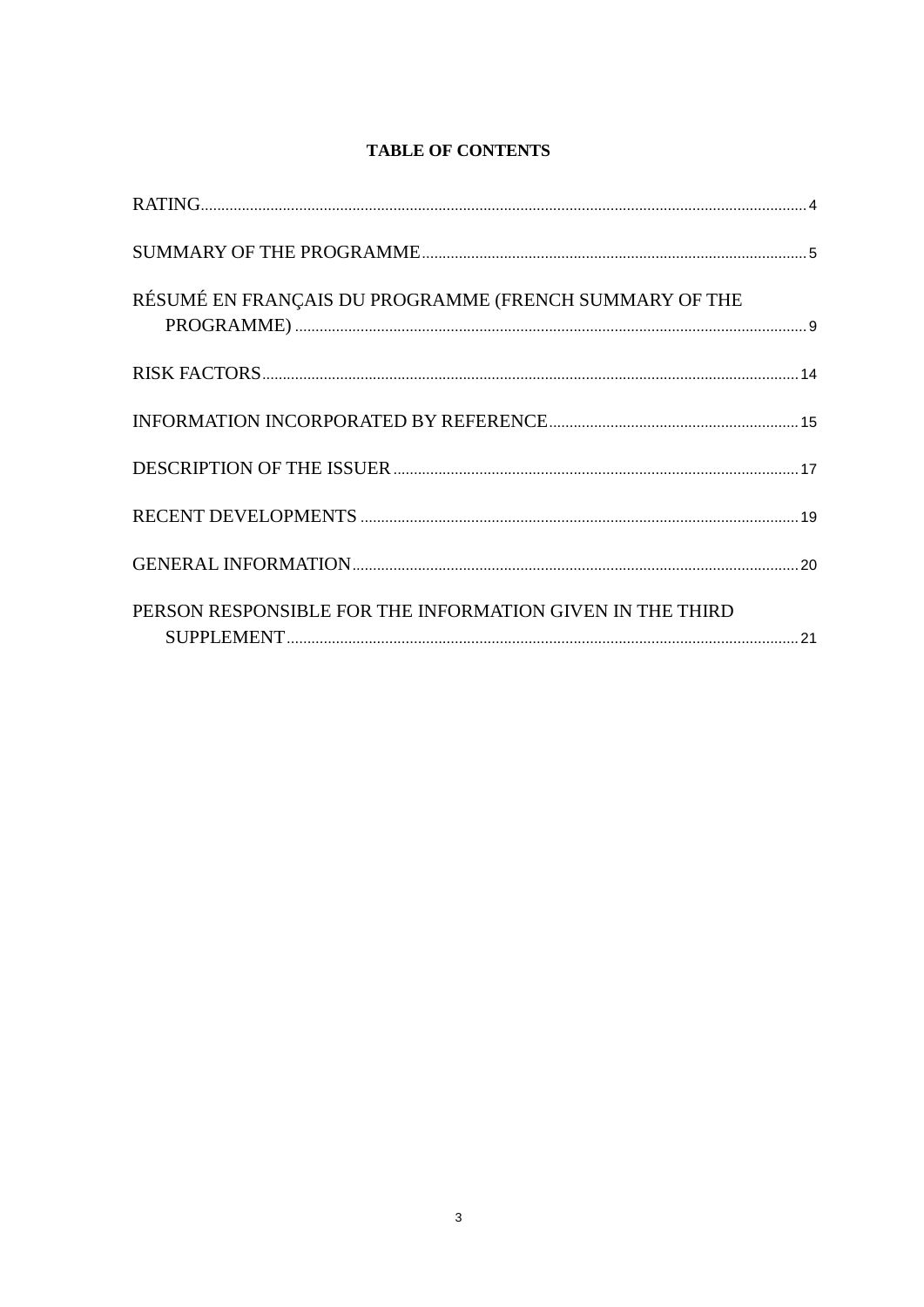# **TABLE OF CONTENTS**

| RÉSUMÉ EN FRANÇAIS DU PROGRAMME (FRENCH SUMMARY OF THE    |  |
|-----------------------------------------------------------|--|
|                                                           |  |
|                                                           |  |
|                                                           |  |
|                                                           |  |
|                                                           |  |
| PERSON RESPONSIBLE FOR THE INFORMATION GIVEN IN THE THIRD |  |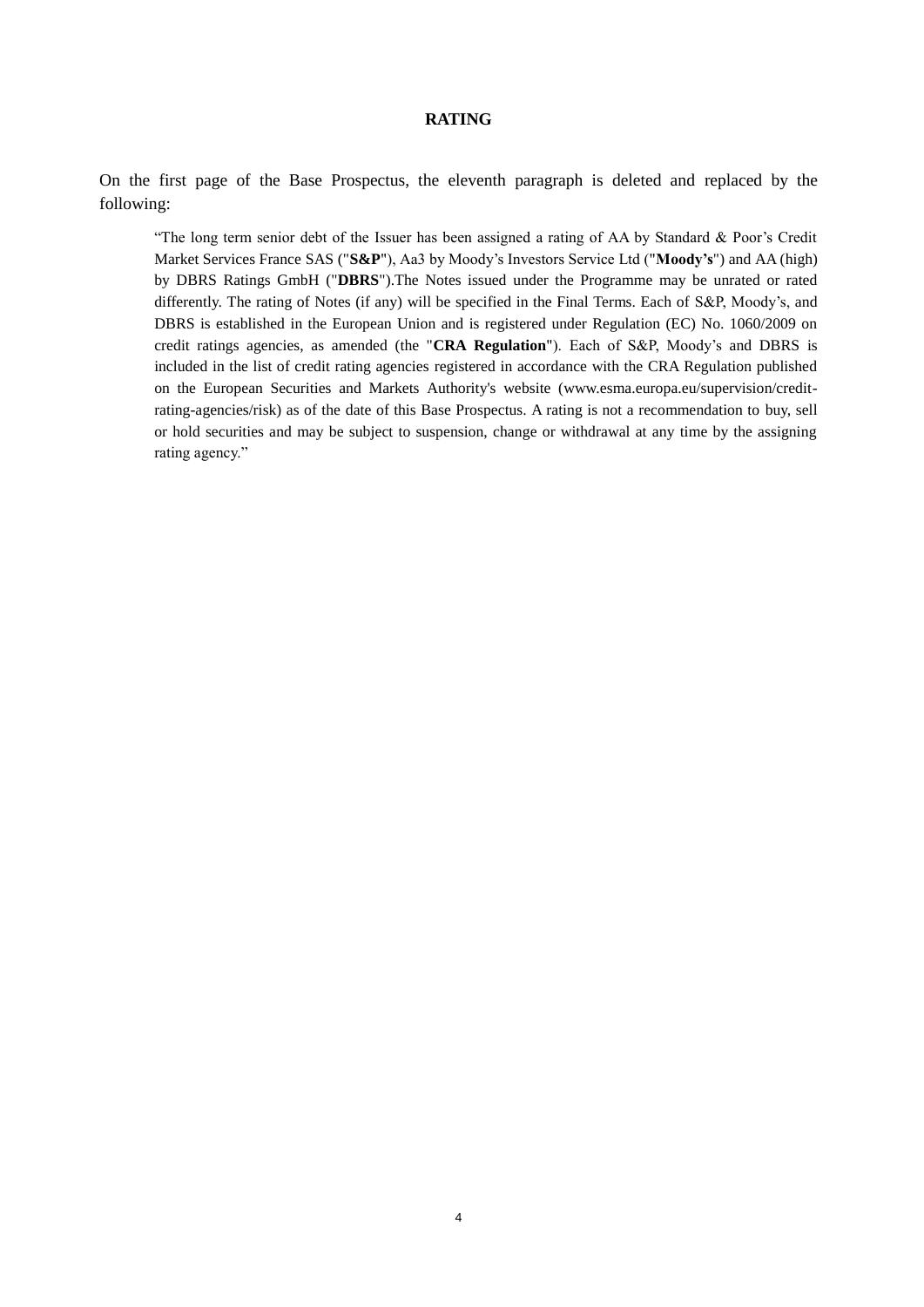#### **RATING**

<span id="page-3-0"></span>On the first page of the Base Prospectus, the eleventh paragraph is deleted and replaced by the following:

"The long term senior debt of the Issuer has been assigned a rating of AA by Standard & Poor's Credit Market Services France SAS ("**S&P**"), Aa3 by Moody's Investors Service Ltd ("**Moody's**") and AA (high) by DBRS Ratings GmbH ("**DBRS**").The Notes issued under the Programme may be unrated or rated differently. The rating of Notes (if any) will be specified in the Final Terms. Each of S&P, Moody's, and DBRS is established in the European Union and is registered under Regulation (EC) No. 1060/2009 on credit ratings agencies, as amended (the "**CRA Regulation**"). Each of S&P, Moody's and DBRS is included in the list of credit rating agencies registered in accordance with the CRA Regulation published on the European Securities and Markets Authority's website (www.esma.europa.eu/supervision/creditrating-agencies/risk) as of the date of this Base Prospectus. A rating is not a recommendation to buy, sell or hold securities and may be subject to suspension, change or withdrawal at any time by the assigning rating agency."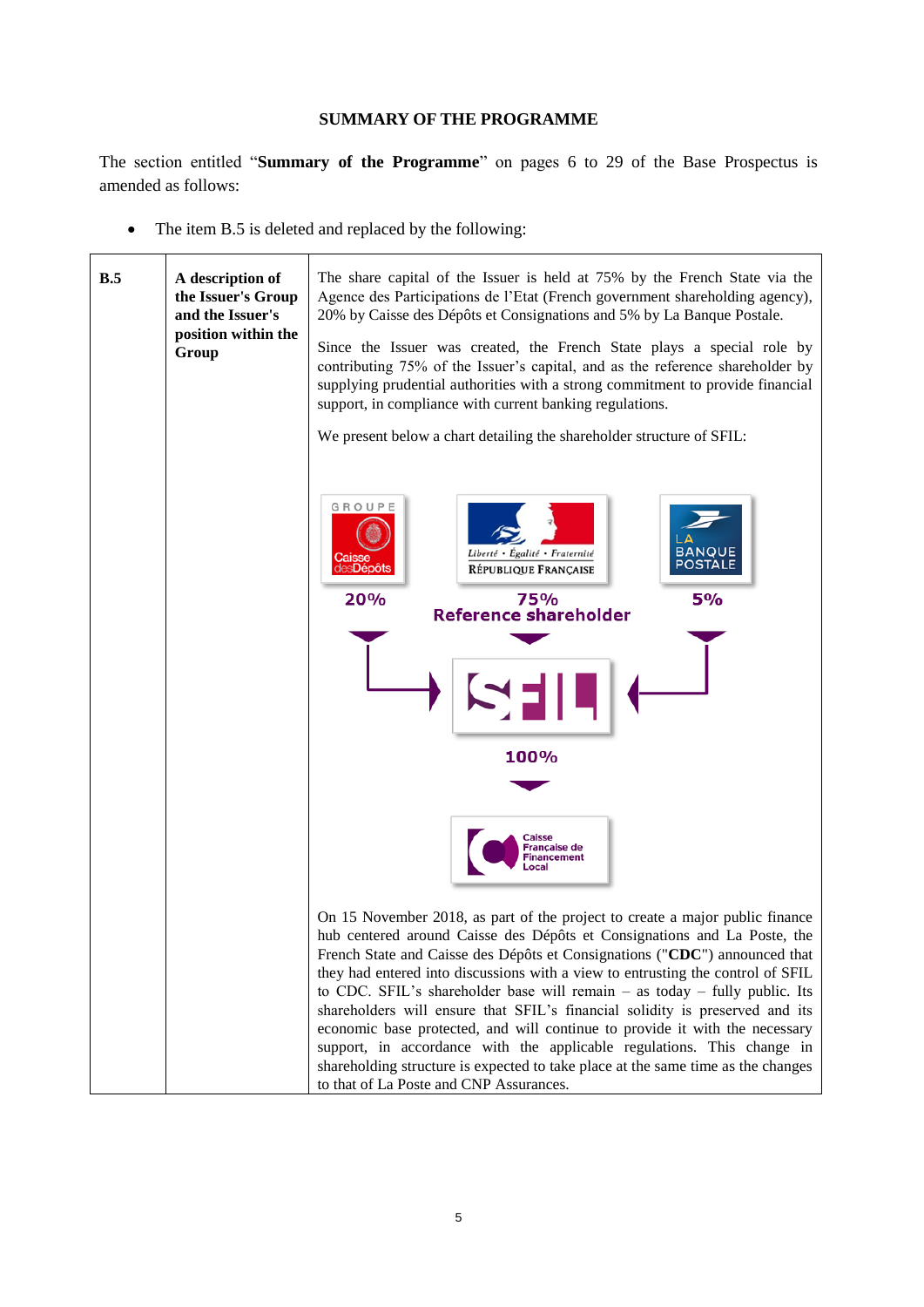## **SUMMARY OF THE PROGRAMME**

<span id="page-4-0"></span>The section entitled "**Summary of the Programme**" on pages 6 to 29 of the Base Prospectus is amended as follows:

• The item B.5 is deleted and replaced by the following:

| B.5 | A description of<br>the Issuer's Group<br>and the Issuer's<br>position within the<br>Group | The share capital of the Issuer is held at 75% by the French State via the<br>Agence des Participations de l'Etat (French government shareholding agency),<br>20% by Caisse des Dépôts et Consignations and 5% by La Banque Postale.<br>Since the Issuer was created, the French State plays a special role by<br>contributing 75% of the Issuer's capital, and as the reference shareholder by<br>supplying prudential authorities with a strong commitment to provide financial<br>support, in compliance with current banking regulations.<br>We present below a chart detailing the shareholder structure of SFIL:                                                                                                                                                              |  |  |
|-----|--------------------------------------------------------------------------------------------|-------------------------------------------------------------------------------------------------------------------------------------------------------------------------------------------------------------------------------------------------------------------------------------------------------------------------------------------------------------------------------------------------------------------------------------------------------------------------------------------------------------------------------------------------------------------------------------------------------------------------------------------------------------------------------------------------------------------------------------------------------------------------------------|--|--|
|     |                                                                                            | GROUPE<br><b>BANQUE</b><br>Liberté • Égalité • Fraternité<br><b>Caisse</b><br>des <b>Dépôts</b><br><b>POSTALE</b><br>RÉPUBLIQUE FRANÇAISE<br>20%<br>5%<br>75%<br><b>Reference shareholder</b><br>100%<br>Caisse<br><b>Française de</b><br>Financement                                                                                                                                                                                                                                                                                                                                                                                                                                                                                                                               |  |  |
|     |                                                                                            | On 15 November 2018, as part of the project to create a major public finance<br>hub centered around Caisse des Dépôts et Consignations and La Poste, the<br>French State and Caisse des Dépôts et Consignations ("CDC") announced that<br>they had entered into discussions with a view to entrusting the control of SFIL<br>to CDC. SFIL's shareholder base will remain $-$ as today $-$ fully public. Its<br>shareholders will ensure that SFIL's financial solidity is preserved and its<br>economic base protected, and will continue to provide it with the necessary<br>support, in accordance with the applicable regulations. This change in<br>shareholding structure is expected to take place at the same time as the changes<br>to that of La Poste and CNP Assurances. |  |  |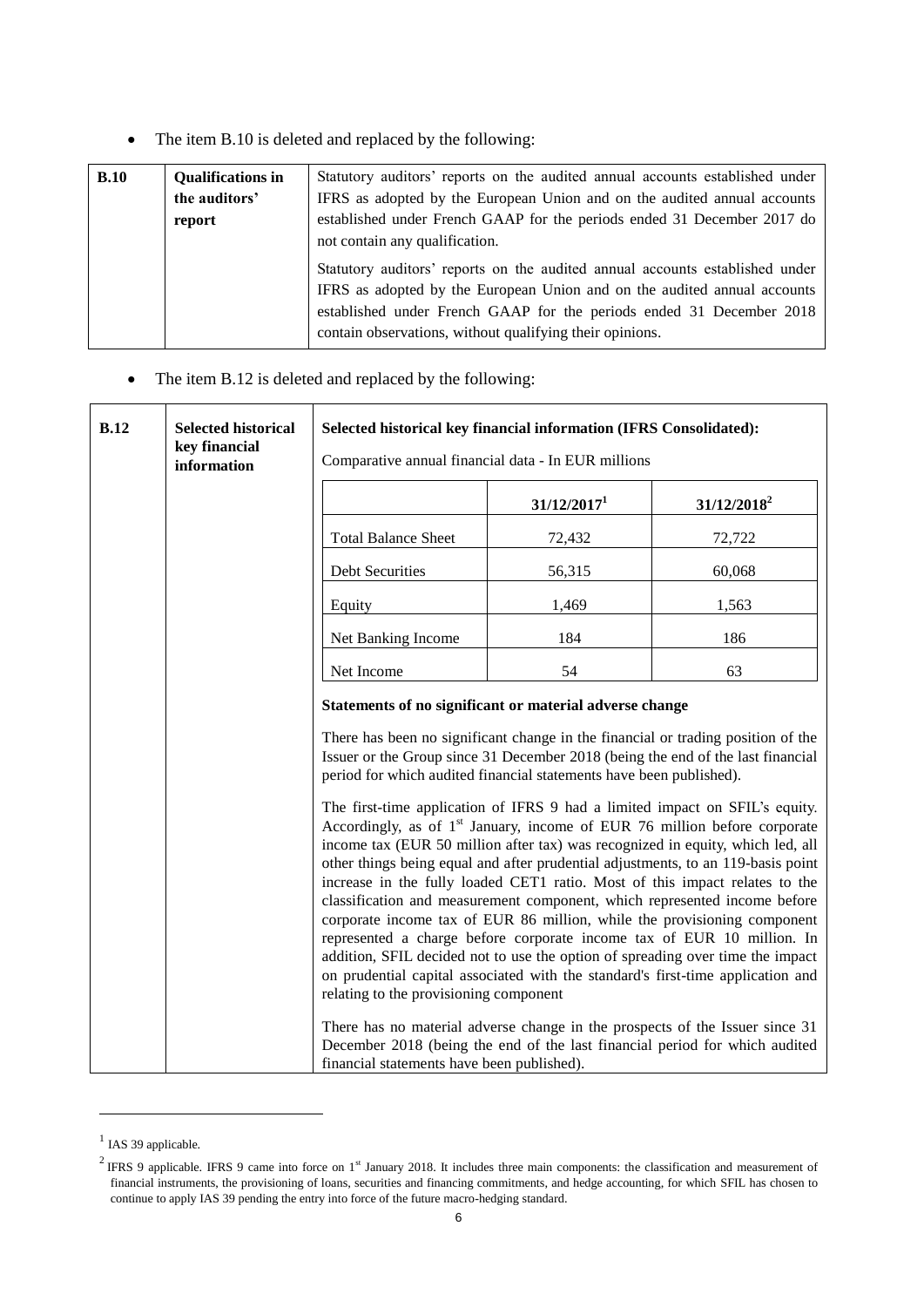• The item B.10 is deleted and replaced by the following:

| B.10 | <b>Qualifications in</b> | Statutory auditors' reports on the audited annual accounts established under                                                                             |  |  |
|------|--------------------------|----------------------------------------------------------------------------------------------------------------------------------------------------------|--|--|
|      | the auditors'            | IFRS as adopted by the European Union and on the audited annual accounts                                                                                 |  |  |
|      | report                   | established under French GAAP for the periods ended 31 December 2017 do                                                                                  |  |  |
|      |                          | not contain any qualification.                                                                                                                           |  |  |
|      |                          | Statutory auditors' reports on the audited annual accounts established under<br>IFRS as adopted by the European Union and on the audited annual accounts |  |  |
|      |                          | established under French GAAP for the periods ended 31 December 2018                                                                                     |  |  |
|      |                          | contain observations, without qualifying their opinions.                                                                                                 |  |  |

# • The item B.12 is deleted and replaced by the following:

| B.12 | <b>Selected historical</b><br>key financial<br>information | Selected historical key financial information (IFRS Consolidated):<br>Comparative annual financial data - In EUR millions                                                                                                                                                                                                                                                                                                                                                                                                                                                                                                                                                                                                                            |                         |                |
|------|------------------------------------------------------------|------------------------------------------------------------------------------------------------------------------------------------------------------------------------------------------------------------------------------------------------------------------------------------------------------------------------------------------------------------------------------------------------------------------------------------------------------------------------------------------------------------------------------------------------------------------------------------------------------------------------------------------------------------------------------------------------------------------------------------------------------|-------------------------|----------------|
|      |                                                            |                                                                                                                                                                                                                                                                                                                                                                                                                                                                                                                                                                                                                                                                                                                                                      | 31/12/2017 <sup>1</sup> | $31/12/2018^2$ |
|      |                                                            | <b>Total Balance Sheet</b>                                                                                                                                                                                                                                                                                                                                                                                                                                                                                                                                                                                                                                                                                                                           | 72,432                  | 72,722         |
|      |                                                            | <b>Debt Securities</b>                                                                                                                                                                                                                                                                                                                                                                                                                                                                                                                                                                                                                                                                                                                               | 56,315                  | 60,068         |
|      |                                                            | Equity                                                                                                                                                                                                                                                                                                                                                                                                                                                                                                                                                                                                                                                                                                                                               | 1,469                   | 1,563          |
|      |                                                            | Net Banking Income                                                                                                                                                                                                                                                                                                                                                                                                                                                                                                                                                                                                                                                                                                                                   | 184                     | 186            |
|      |                                                            | Net Income                                                                                                                                                                                                                                                                                                                                                                                                                                                                                                                                                                                                                                                                                                                                           | 54                      | 63             |
|      |                                                            | Statements of no significant or material adverse change                                                                                                                                                                                                                                                                                                                                                                                                                                                                                                                                                                                                                                                                                              |                         |                |
|      |                                                            | There has been no significant change in the financial or trading position of the<br>Issuer or the Group since 31 December 2018 (being the end of the last financial<br>period for which audited financial statements have been published).<br>The first-time application of IFRS 9 had a limited impact on SFIL's equity.<br>Accordingly, as of 1 <sup>st</sup> January, income of EUR 76 million before corporate<br>income tax (EUR 50 million after tax) was recognized in equity, which led, all<br>other things being equal and after prudential adjustments, to an 119-basis point<br>increase in the fully loaded CET1 ratio. Most of this impact relates to the<br>classification and measurement component, which represented income before |                         |                |
|      |                                                            | corporate income tax of EUR 86 million, while the provisioning component<br>represented a charge before corporate income tax of EUR 10 million. In<br>addition, SFIL decided not to use the option of spreading over time the impact<br>on prudential capital associated with the standard's first-time application and<br>relating to the provisioning component<br>There has no material adverse change in the prospects of the Issuer since 31<br>December 2018 (being the end of the last financial period for which audited<br>financial statements have been published).                                                                                                                                                                       |                         |                |

 $<sup>1</sup>$  IAS 39 applicable.</sup>

-

<sup>&</sup>lt;sup>2</sup> IFRS 9 applicable. IFRS 9 came into force on 1<sup>st</sup> January 2018. It includes three main components: the classification and measurement of financial instruments, the provisioning of loans, securities and financing commitments, and hedge accounting, for which SFIL has chosen to continue to apply IAS 39 pending the entry into force of the future macro-hedging standard.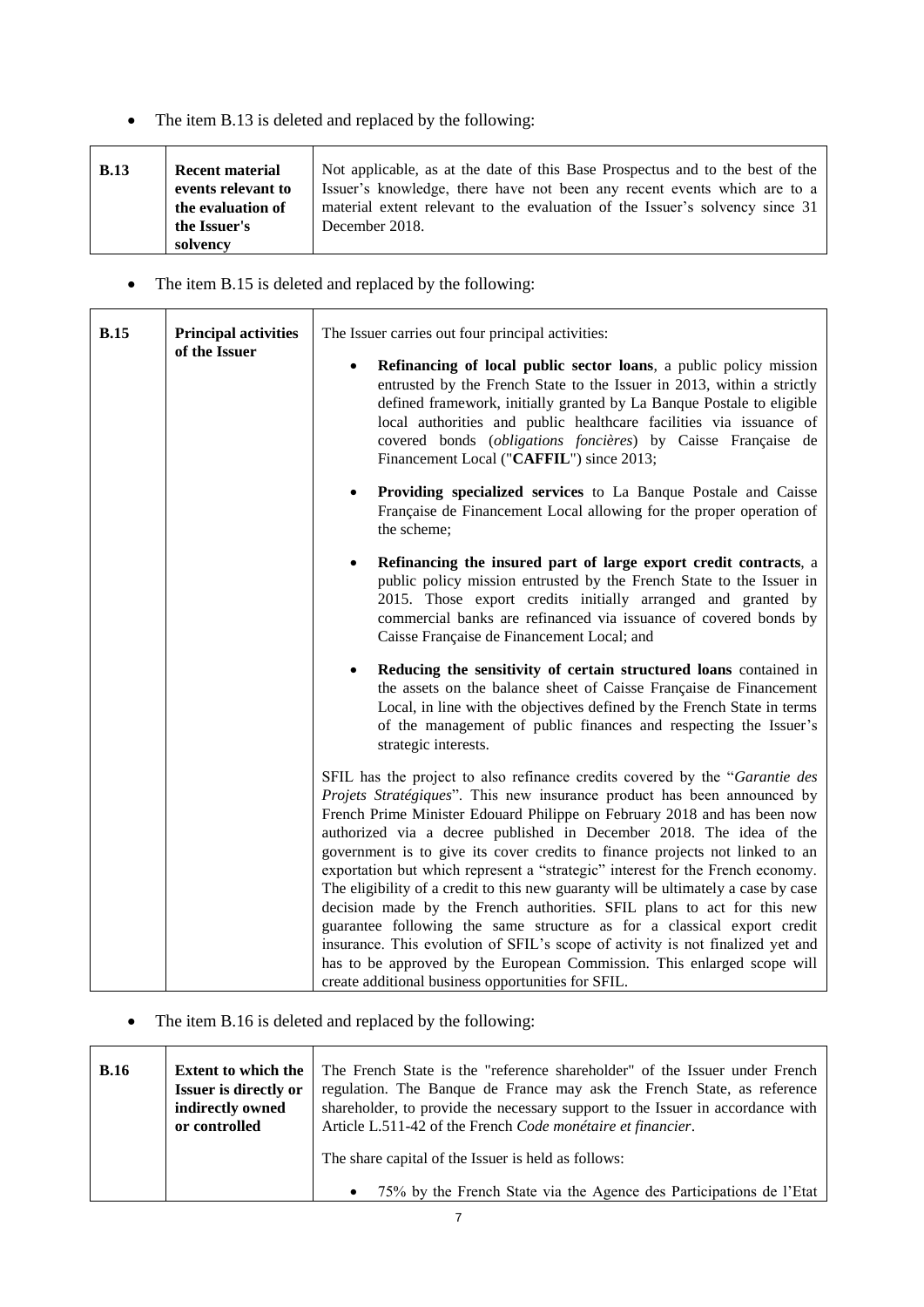• The item B.13 is deleted and replaced by the following:

| <b>B.13</b> | <b>Recent material</b> | Not applicable, as at the date of this Base Prospectus and to the best of the |
|-------------|------------------------|-------------------------------------------------------------------------------|
|             | events relevant to     | Issuer's knowledge, there have not been any recent events which are to a      |
|             | the evaluation of      | material extent relevant to the evaluation of the Issuer's solvency since 31  |
|             | the Issuer's           | December 2018.                                                                |
|             | solvency               |                                                                               |

• The item B.15 is deleted and replaced by the following:

| <b>B.15</b> | <b>Principal activities</b> | The Issuer carries out four principal activities:                                                                                                                                                                                                                                                                                                                                                                                                                                                                                                                                                                                                                                                                                                                                                                                                                                                                                                  |
|-------------|-----------------------------|----------------------------------------------------------------------------------------------------------------------------------------------------------------------------------------------------------------------------------------------------------------------------------------------------------------------------------------------------------------------------------------------------------------------------------------------------------------------------------------------------------------------------------------------------------------------------------------------------------------------------------------------------------------------------------------------------------------------------------------------------------------------------------------------------------------------------------------------------------------------------------------------------------------------------------------------------|
|             | of the Issuer               | Refinancing of local public sector loans, a public policy mission<br>$\bullet$<br>entrusted by the French State to the Issuer in 2013, within a strictly<br>defined framework, initially granted by La Banque Postale to eligible<br>local authorities and public healthcare facilities via issuance of<br>covered bonds (obligations foncières) by Caisse Française de<br>Financement Local ("CAFFIL") since 2013;                                                                                                                                                                                                                                                                                                                                                                                                                                                                                                                                |
|             |                             | Providing specialized services to La Banque Postale and Caisse<br>$\bullet$<br>Française de Financement Local allowing for the proper operation of<br>the scheme;                                                                                                                                                                                                                                                                                                                                                                                                                                                                                                                                                                                                                                                                                                                                                                                  |
|             |                             | Refinancing the insured part of large export credit contracts, a<br>public policy mission entrusted by the French State to the Issuer in<br>2015. Those export credits initially arranged and granted by<br>commercial banks are refinanced via issuance of covered bonds by<br>Caisse Française de Financement Local; and                                                                                                                                                                                                                                                                                                                                                                                                                                                                                                                                                                                                                         |
|             |                             | Reducing the sensitivity of certain structured loans contained in<br>the assets on the balance sheet of Caisse Française de Financement<br>Local, in line with the objectives defined by the French State in terms<br>of the management of public finances and respecting the Issuer's<br>strategic interests.                                                                                                                                                                                                                                                                                                                                                                                                                                                                                                                                                                                                                                     |
|             |                             | SFIL has the project to also refinance credits covered by the "Garantie des<br><i>Projets Stratégiques</i> ". This new insurance product has been announced by<br>French Prime Minister Edouard Philippe on February 2018 and has been now<br>authorized via a decree published in December 2018. The idea of the<br>government is to give its cover credits to finance projects not linked to an<br>exportation but which represent a "strategic" interest for the French economy.<br>The eligibility of a credit to this new guaranty will be ultimately a case by case<br>decision made by the French authorities. SFIL plans to act for this new<br>guarantee following the same structure as for a classical export credit<br>insurance. This evolution of SFIL's scope of activity is not finalized yet and<br>has to be approved by the European Commission. This enlarged scope will<br>create additional business opportunities for SFIL. |

• The item B.16 is deleted and replaced by the following:

| <b>B.16</b>                  |  | The French State is the "reference shareholder" of the Issuer under French       |  |
|------------------------------|--|----------------------------------------------------------------------------------|--|
| <b>Extent to which the</b>   |  | regulation. The Banque de France may ask the French State, as reference          |  |
| <b>Issuer is directly or</b> |  | shareholder, to provide the necessary support to the Issuer in accordance with   |  |
| indirectly owned             |  | Article L.511-42 of the French Code monétaire et financier.                      |  |
| or controlled                |  | The share capital of the Issuer is held as follows:                              |  |
|                              |  | 75% by the French State via the Agence des Participations de l'Etat<br>$\bullet$ |  |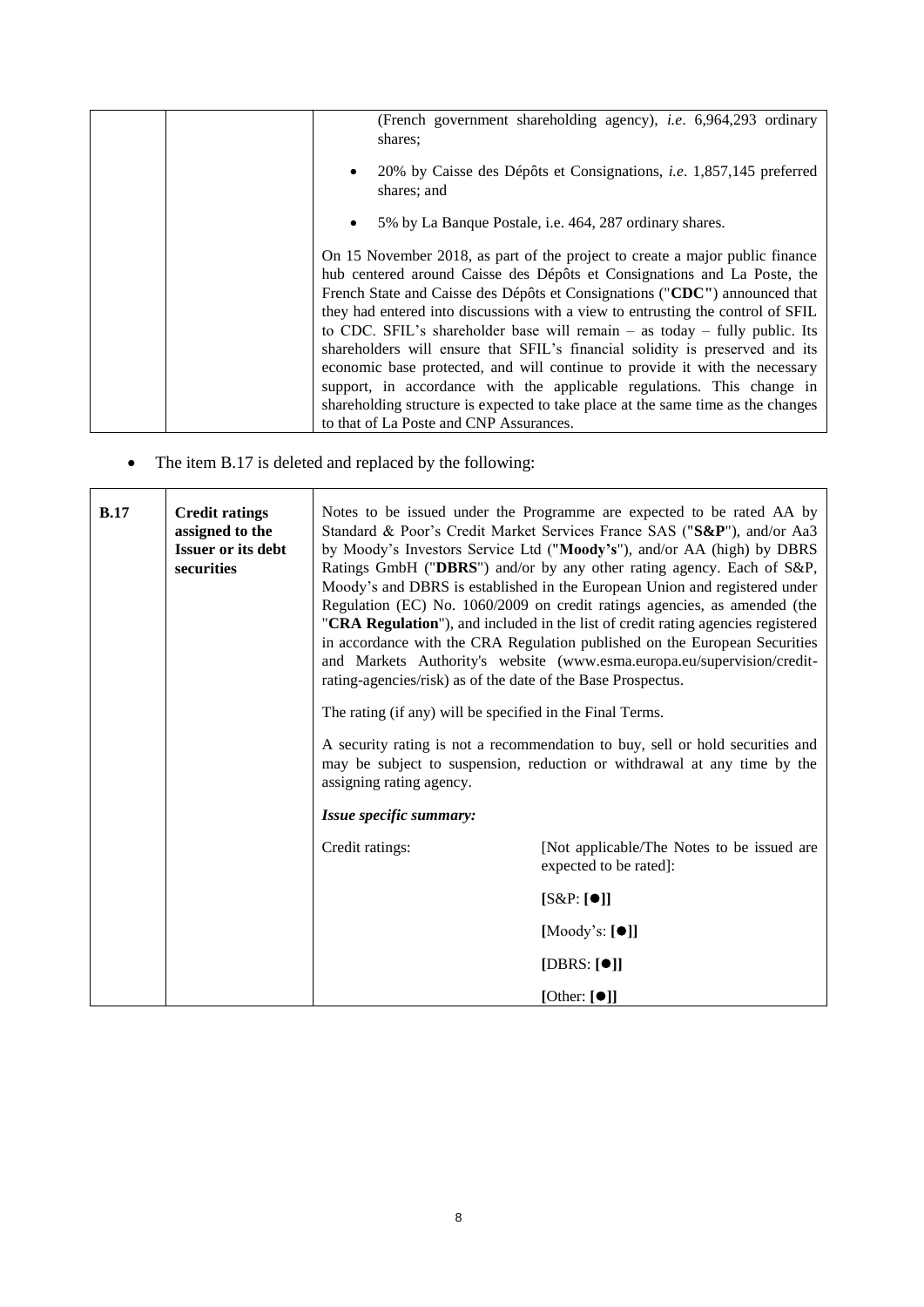| (French government shareholding agency), <i>i.e.</i> 6,964,293 ordinary<br>shares:                                                                                                                                                                                                                                                                                                                                                                                                                                                                                                                                                                                                                                                                                                  |
|-------------------------------------------------------------------------------------------------------------------------------------------------------------------------------------------------------------------------------------------------------------------------------------------------------------------------------------------------------------------------------------------------------------------------------------------------------------------------------------------------------------------------------------------------------------------------------------------------------------------------------------------------------------------------------------------------------------------------------------------------------------------------------------|
| 20% by Caisse des Dépôts et Consignations, <i>i.e.</i> 1,857,145 preferred<br>shares; and                                                                                                                                                                                                                                                                                                                                                                                                                                                                                                                                                                                                                                                                                           |
| 5% by La Banque Postale, <i>i.e.</i> 464, 287 ordinary shares.<br>$\bullet$                                                                                                                                                                                                                                                                                                                                                                                                                                                                                                                                                                                                                                                                                                         |
| On 15 November 2018, as part of the project to create a major public finance<br>hub centered around Caisse des Dépôts et Consignations and La Poste, the<br>French State and Caisse des Dépôts et Consignations ("CDC") announced that<br>they had entered into discussions with a view to entrusting the control of SFIL<br>to CDC. SFIL's shareholder base will remain $-$ as today $-$ fully public. Its<br>shareholders will ensure that SFIL's financial solidity is preserved and its<br>economic base protected, and will continue to provide it with the necessary<br>support, in accordance with the applicable regulations. This change in<br>shareholding structure is expected to take place at the same time as the changes<br>to that of La Poste and CNP Assurances. |

• The item B.17 is deleted and replaced by the following:

| B.17 | <b>Credit ratings</b><br>assigned to the<br><b>Issuer or its debt</b><br>securities | Notes to be issued under the Programme are expected to be rated AA by<br>Standard & Poor's Credit Market Services France SAS ("S&P"), and/or Aa3<br>by Moody's Investors Service Ltd ("Moody's"), and/or AA (high) by DBRS<br>Ratings GmbH ("DBRS") and/or by any other rating agency. Each of S&P,<br>Moody's and DBRS is established in the European Union and registered under<br>Regulation (EC) No. 1060/2009 on credit ratings agencies, as amended (the<br>"CRA Regulation"), and included in the list of credit rating agencies registered<br>in accordance with the CRA Regulation published on the European Securities<br>and Markets Authority's website (www.esma.europa.eu/supervision/credit-<br>rating-agencies/risk) as of the date of the Base Prospectus.<br>The rating (if any) will be specified in the Final Terms.<br>A security rating is not a recommendation to buy, sell or hold securities and<br>may be subject to suspension, reduction or withdrawal at any time by the |                 |  |
|------|-------------------------------------------------------------------------------------|-------------------------------------------------------------------------------------------------------------------------------------------------------------------------------------------------------------------------------------------------------------------------------------------------------------------------------------------------------------------------------------------------------------------------------------------------------------------------------------------------------------------------------------------------------------------------------------------------------------------------------------------------------------------------------------------------------------------------------------------------------------------------------------------------------------------------------------------------------------------------------------------------------------------------------------------------------------------------------------------------------|-----------------|--|
|      |                                                                                     | assigning rating agency.<br>Issue specific summary:                                                                                                                                                                                                                                                                                                                                                                                                                                                                                                                                                                                                                                                                                                                                                                                                                                                                                                                                                   |                 |  |
|      |                                                                                     |                                                                                                                                                                                                                                                                                                                                                                                                                                                                                                                                                                                                                                                                                                                                                                                                                                                                                                                                                                                                       |                 |  |
|      |                                                                                     | Credit ratings:<br>[Not applicable/The Notes to be issued are<br>expected to be rated]:                                                                                                                                                                                                                                                                                                                                                                                                                                                                                                                                                                                                                                                                                                                                                                                                                                                                                                               |                 |  |
|      |                                                                                     | $[S\&P:[\bullet]]$                                                                                                                                                                                                                                                                                                                                                                                                                                                                                                                                                                                                                                                                                                                                                                                                                                                                                                                                                                                    |                 |  |
|      |                                                                                     | [Moody's: $[\bullet]$ ]                                                                                                                                                                                                                                                                                                                                                                                                                                                                                                                                                                                                                                                                                                                                                                                                                                                                                                                                                                               |                 |  |
|      |                                                                                     | [DBRS: $[①]$ ]                                                                                                                                                                                                                                                                                                                                                                                                                                                                                                                                                                                                                                                                                                                                                                                                                                                                                                                                                                                        |                 |  |
|      |                                                                                     |                                                                                                                                                                                                                                                                                                                                                                                                                                                                                                                                                                                                                                                                                                                                                                                                                                                                                                                                                                                                       | [Other: $[①]$ ] |  |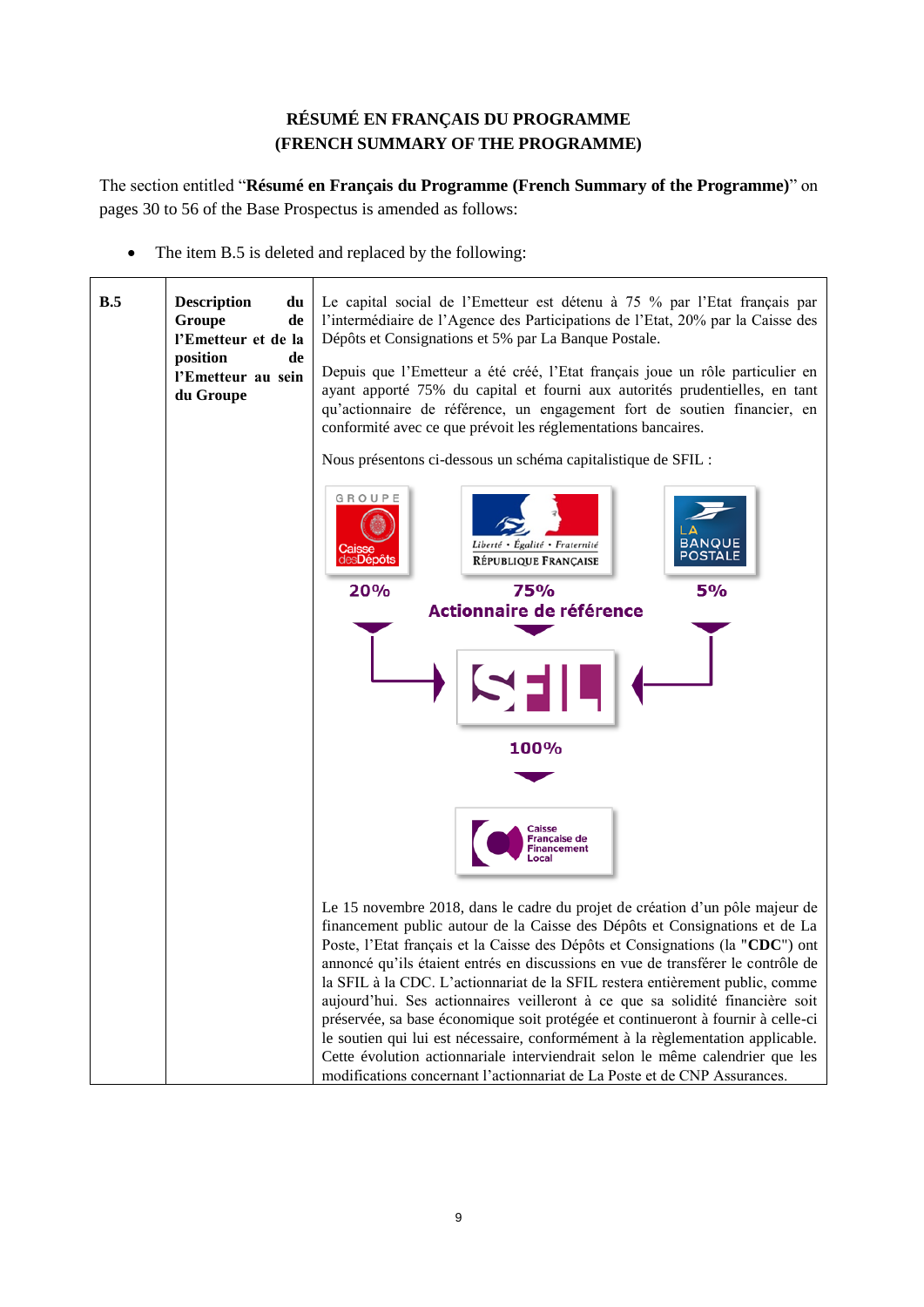# **RÉSUMÉ EN FRANÇAIS DU PROGRAMME (FRENCH SUMMARY OF THE PROGRAMME)**

<span id="page-8-0"></span>The section entitled "**Résumé en Français du Programme (French Summary of the Programme)**" on pages 30 to 56 of the Base Prospectus is amended as follows:

• The item B.5 is deleted and replaced by the following:

| B.5 | <b>Description</b><br>du<br>Groupe<br>de<br>l'Emetteur et de la<br>position<br>de<br>l'Emetteur au sein<br>du Groupe | Le capital social de l'Emetteur est détenu à 75 % par l'Etat français par<br>l'intermédiaire de l'Agence des Participations de l'Etat, 20% par la Caisse des<br>Dépôts et Consignations et 5% par La Banque Postale.<br>Depuis que l'Emetteur a été créé, l'Etat français joue un rôle particulier en<br>ayant apporté 75% du capital et fourni aux autorités prudentielles, en tant<br>qu'actionnaire de référence, un engagement fort de soutien financier, en<br>conformité avec ce que prévoit les réglementations bancaires.                                                                                                                                                                                                                           |  |  |
|-----|----------------------------------------------------------------------------------------------------------------------|-------------------------------------------------------------------------------------------------------------------------------------------------------------------------------------------------------------------------------------------------------------------------------------------------------------------------------------------------------------------------------------------------------------------------------------------------------------------------------------------------------------------------------------------------------------------------------------------------------------------------------------------------------------------------------------------------------------------------------------------------------------|--|--|
|     |                                                                                                                      | Nous présentons ci-dessous un schéma capitalistique de SFIL :                                                                                                                                                                                                                                                                                                                                                                                                                                                                                                                                                                                                                                                                                               |  |  |
|     |                                                                                                                      | GROUPE<br><b>BANQUE</b><br>Liberté • Égalité • Fraternité<br>POSTALE<br><b>RÉPUBLIQUE FRANÇAISE</b>                                                                                                                                                                                                                                                                                                                                                                                                                                                                                                                                                                                                                                                         |  |  |
|     |                                                                                                                      | 20%<br>75%<br>5%                                                                                                                                                                                                                                                                                                                                                                                                                                                                                                                                                                                                                                                                                                                                            |  |  |
|     |                                                                                                                      | Actionnaire de référence                                                                                                                                                                                                                                                                                                                                                                                                                                                                                                                                                                                                                                                                                                                                    |  |  |
|     |                                                                                                                      |                                                                                                                                                                                                                                                                                                                                                                                                                                                                                                                                                                                                                                                                                                                                                             |  |  |
|     |                                                                                                                      | 100%                                                                                                                                                                                                                                                                                                                                                                                                                                                                                                                                                                                                                                                                                                                                                        |  |  |
|     |                                                                                                                      |                                                                                                                                                                                                                                                                                                                                                                                                                                                                                                                                                                                                                                                                                                                                                             |  |  |
|     |                                                                                                                      | <b>Caisse</b><br><b>Française de</b><br>Financement                                                                                                                                                                                                                                                                                                                                                                                                                                                                                                                                                                                                                                                                                                         |  |  |
|     |                                                                                                                      | Le 15 novembre 2018, dans le cadre du projet de création d'un pôle majeur de<br>financement public autour de la Caisse des Dépôts et Consignations et de La<br>Poste, l'Etat français et la Caisse des Dépôts et Consignations (la "CDC") ont<br>annoncé qu'ils étaient entrés en discussions en vue de transférer le contrôle de<br>la SFIL à la CDC. L'actionnariat de la SFIL restera entièrement public, comme<br>aujourd'hui. Ses actionnaires veilleront à ce que sa solidité financière soit<br>préservée, sa base économique soit protégée et continueront à fournir à celle-ci<br>le soutien qui lui est nécessaire, conformément à la règlementation applicable.<br>Cette évolution actionnariale interviendrait selon le même calendrier que les |  |  |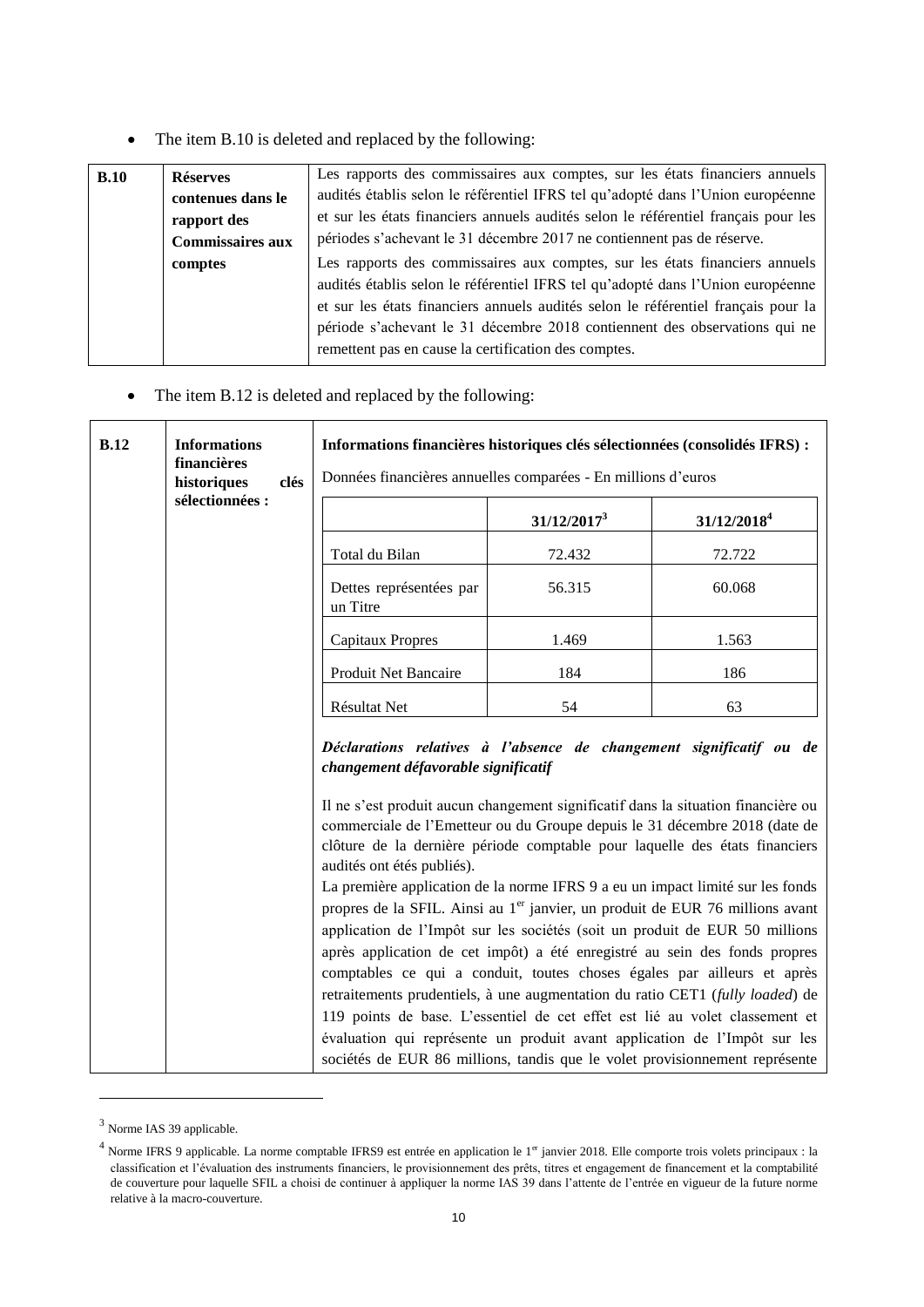• The item B.10 is deleted and replaced by the following:

| B.10 | <b>Réserves</b>         | Les rapports des commissaires aux comptes, sur les états financiers annuels        |
|------|-------------------------|------------------------------------------------------------------------------------|
|      | contenues dans le       | audités établis selon le référentiel IFRS tel qu'adopté dans l'Union européenne    |
|      | rapport des             | et sur les états financiers annuels audités selon le référentiel français pour les |
|      | <b>Commissaires aux</b> | périodes s'achevant le 31 décembre 2017 ne contiennent pas de réserve.             |
|      | comptes                 | Les rapports des commissaires aux comptes, sur les états financiers annuels        |
|      |                         | audités établis selon le référentiel IFRS tel qu'adopté dans l'Union européenne    |
|      |                         | et sur les états financiers annuels audités selon le référentiel français pour la  |
|      |                         | période s'achevant le 31 décembre 2018 contiennent des observations qui ne         |
|      |                         | remettent pas en cause la certification des comptes.                               |
|      |                         |                                                                                    |

• The item B.12 is deleted and replaced by the following:

| <b>B.12</b>                                                                                                                                              | <b>Informations</b><br>financières<br>historiques<br>clés | Informations financières historiques clés sélectionnées (consolidés IFRS) :<br>Données financières annuelles comparées - En millions d'euros                                                                                                                                                                                                                                                                                                                                                                                                                                                                                                             |                |                         |
|----------------------------------------------------------------------------------------------------------------------------------------------------------|-----------------------------------------------------------|----------------------------------------------------------------------------------------------------------------------------------------------------------------------------------------------------------------------------------------------------------------------------------------------------------------------------------------------------------------------------------------------------------------------------------------------------------------------------------------------------------------------------------------------------------------------------------------------------------------------------------------------------------|----------------|-------------------------|
|                                                                                                                                                          | sélectionnées :                                           |                                                                                                                                                                                                                                                                                                                                                                                                                                                                                                                                                                                                                                                          | $31/12/2017^3$ | 31/12/2018 <sup>4</sup> |
|                                                                                                                                                          |                                                           | Total du Bilan                                                                                                                                                                                                                                                                                                                                                                                                                                                                                                                                                                                                                                           | 72.432         | 72.722                  |
|                                                                                                                                                          |                                                           | Dettes représentées par<br>un Titre                                                                                                                                                                                                                                                                                                                                                                                                                                                                                                                                                                                                                      | 56.315         | 60.068                  |
|                                                                                                                                                          |                                                           | <b>Capitaux Propres</b>                                                                                                                                                                                                                                                                                                                                                                                                                                                                                                                                                                                                                                  | 1.469          | 1.563                   |
|                                                                                                                                                          |                                                           | Produit Net Bancaire                                                                                                                                                                                                                                                                                                                                                                                                                                                                                                                                                                                                                                     | 184            | 186                     |
|                                                                                                                                                          |                                                           | Résultat Net                                                                                                                                                                                                                                                                                                                                                                                                                                                                                                                                                                                                                                             | 54             | 63                      |
|                                                                                                                                                          |                                                           | Déclarations relatives à l'absence de changement significatif ou de<br>changement défavorable significatif<br>Il ne s'est produit aucun changement significatif dans la situation financière ou<br>commerciale de l'Emetteur ou du Groupe depuis le 31 décembre 2018 (date de<br>clôture de la dernière période comptable pour laquelle des états financiers<br>audités ont étés publiés).<br>La première application de la norme IFRS 9 a eu un impact limité sur les fonds<br>propres de la SFIL. Ainsi au 1 <sup>er</sup> janvier, un produit de EUR 76 millions avant<br>application de l'Impôt sur les sociétés (soit un produit de EUR 50 millions |                |                         |
|                                                                                                                                                          |                                                           | après application de cet impôt) a été enregistré au sein des fonds propres<br>comptables ce qui a conduit, toutes choses égales par ailleurs et après                                                                                                                                                                                                                                                                                                                                                                                                                                                                                                    |                |                         |
|                                                                                                                                                          |                                                           | retraitements prudentiels, à une augmentation du ratio CET1 (fully loaded) de<br>119 points de base. L'essentiel de cet effet est lié au volet classement et                                                                                                                                                                                                                                                                                                                                                                                                                                                                                             |                |                         |
| évaluation qui représente un produit avant application de l'Impôt sur les<br>sociétés de EUR 86 millions, tandis que le volet provisionnement représente |                                                           |                                                                                                                                                                                                                                                                                                                                                                                                                                                                                                                                                                                                                                                          |                |                         |
|                                                                                                                                                          |                                                           |                                                                                                                                                                                                                                                                                                                                                                                                                                                                                                                                                                                                                                                          |                |                         |

<sup>&</sup>lt;sup>3</sup> Norme IAS 39 applicable.

-

<sup>&</sup>lt;sup>4</sup> Norme IFRS 9 applicable. La norme comptable IFRS9 est entrée en application le 1<sup>er</sup> janvier 2018. Elle comporte trois volets principaux : la classification et l'évaluation des instruments financiers, le provisionnement des prêts, titres et engagement de financement et la comptabilité de couverture pour laquelle SFIL a choisi de continuer à appliquer la norme IAS 39 dans l'attente de l'entrée en vigueur de la future norme relative à la macro-couverture.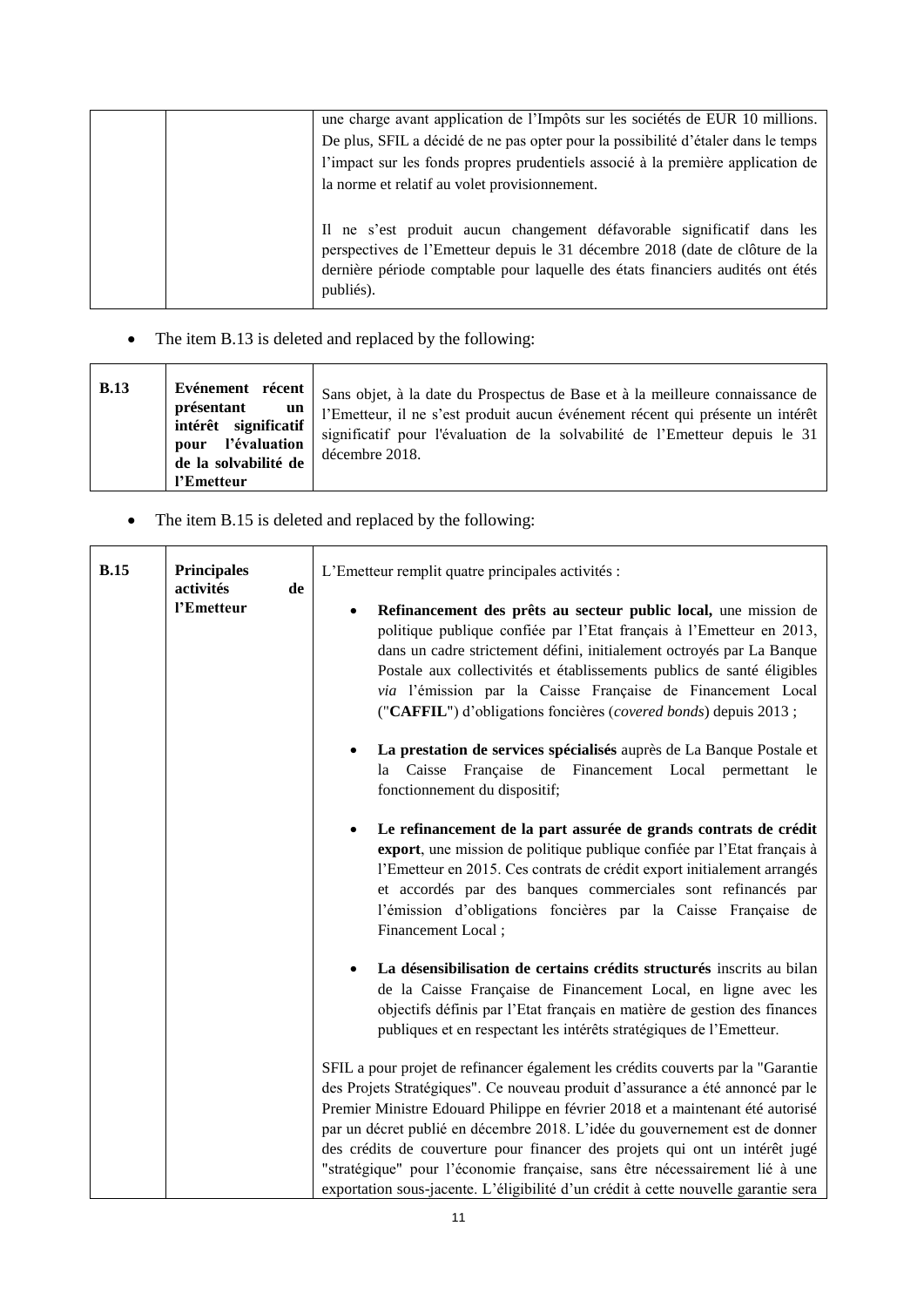|  | une charge avant application de l'Impôts sur les sociétés de EUR 10 millions.<br>De plus, SFIL a décidé de ne pas opter pour la possibilité d'étaler dans le temps<br>l'impact sur les fonds propres prudentiels associé à la première application de<br>la norme et relatif au volet provisionnement. |
|--|--------------------------------------------------------------------------------------------------------------------------------------------------------------------------------------------------------------------------------------------------------------------------------------------------------|
|  | Il ne s'est produit aucun changement défavorable significatif dans les<br>perspectives de l'Emetteur depuis le 31 décembre 2018 (date de clôture de la<br>dernière période comptable pour laquelle des états financiers audités ont étés<br>publiés).                                                  |

• The item B.13 is deleted and replaced by the following:

• The item B.15 is deleted and replaced by the following:

| <b>B.15</b> | <b>Principales</b><br>activités<br>de<br>l'Emetteur                                                                                                             | L'Emetteur remplit quatre principales activités :<br>Refinancement des prêts au secteur public local, une mission de<br>politique publique confiée par l'Etat français à l'Emetteur en 2013,<br>dans un cadre strictement défini, initialement octroyés par La Banque<br>Postale aux collectivités et établissements publics de santé éligibles<br>via l'émission par la Caisse Française de Financement Local<br>("CAFFIL") d'obligations foncières (covered bonds) depuis 2013 ;                                                                                                      |  |  |
|-------------|-----------------------------------------------------------------------------------------------------------------------------------------------------------------|-----------------------------------------------------------------------------------------------------------------------------------------------------------------------------------------------------------------------------------------------------------------------------------------------------------------------------------------------------------------------------------------------------------------------------------------------------------------------------------------------------------------------------------------------------------------------------------------|--|--|
|             | La prestation de services spécialisés auprès de La Banque Postale et<br>la Caisse Française de Financement Local permettant le<br>fonctionnement du dispositif; |                                                                                                                                                                                                                                                                                                                                                                                                                                                                                                                                                                                         |  |  |
|             |                                                                                                                                                                 | Le refinancement de la part assurée de grands contrats de crédit<br>export, une mission de politique publique confiée par l'Etat français à<br>l'Emetteur en 2015. Ces contrats de crédit export initialement arrangés<br>et accordés par des banques commerciales sont refinancés par<br>l'émission d'obligations foncières par la Caisse Française de<br>Financement Local;                                                                                                                                                                                                           |  |  |
|             |                                                                                                                                                                 | La désensibilisation de certains crédits structurés inscrits au bilan<br>de la Caisse Française de Financement Local, en ligne avec les<br>objectifs définis par l'Etat français en matière de gestion des finances<br>publiques et en respectant les intérêts stratégiques de l'Emetteur.                                                                                                                                                                                                                                                                                              |  |  |
|             |                                                                                                                                                                 | SFIL a pour projet de refinancer également les crédits couverts par la "Garantie<br>des Projets Stratégiques". Ce nouveau produit d'assurance a été annoncé par le<br>Premier Ministre Edouard Philippe en février 2018 et a maintenant été autorisé<br>par un décret publié en décembre 2018. L'idée du gouvernement est de donner<br>des crédits de couverture pour financer des projets qui ont un intérêt jugé<br>"stratégique" pour l'économie française, sans être nécessairement lié à une<br>exportation sous-jacente. L'éligibilité d'un crédit à cette nouvelle garantie sera |  |  |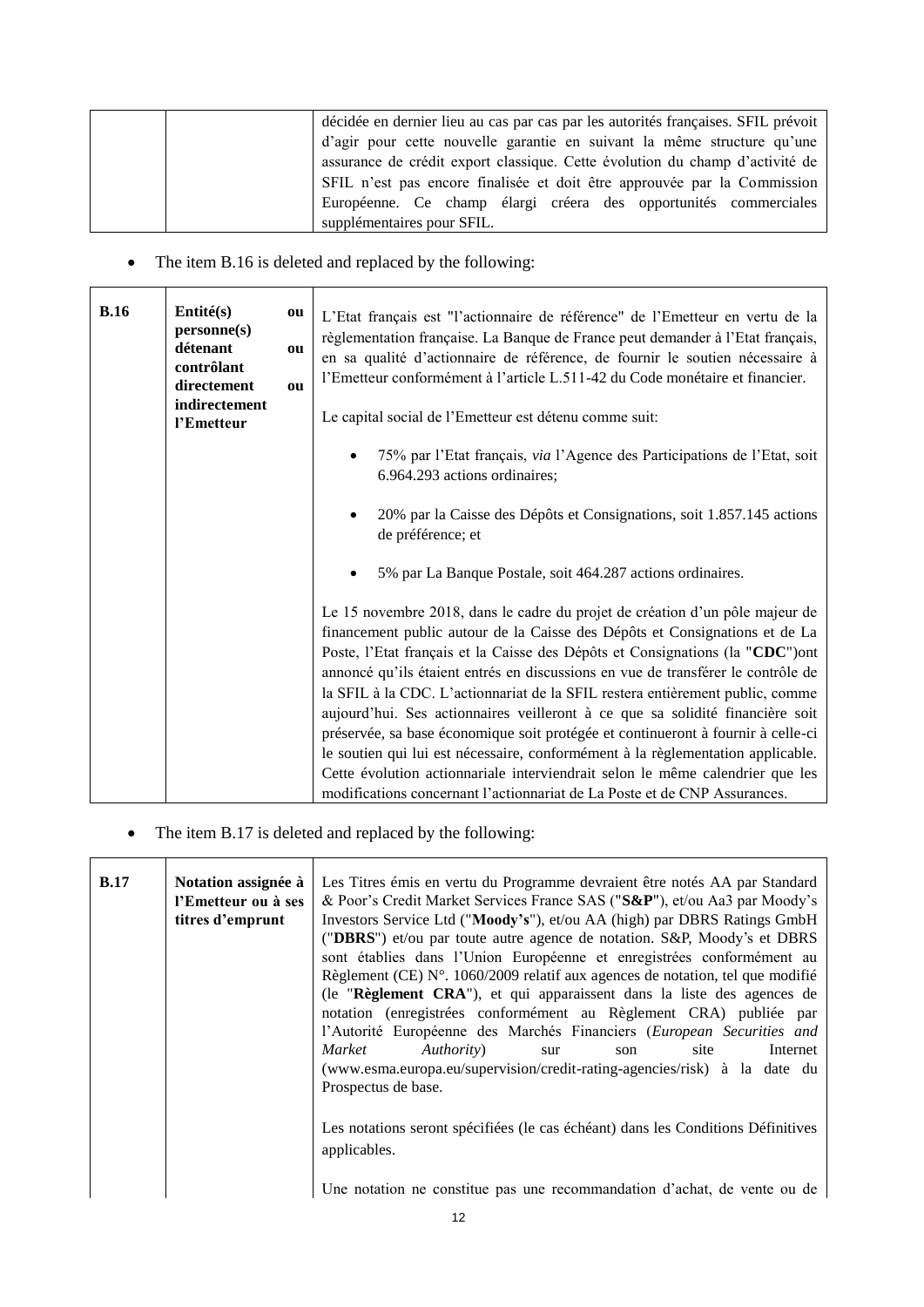|  | décidée en dernier lieu au cas par cas par les autorités françaises. SFIL prévoit |
|--|-----------------------------------------------------------------------------------|
|  | d'agir pour cette nouvelle garantie en suivant la même structure qu'une           |
|  | assurance de crédit export classique. Cette évolution du champ d'activité de      |
|  | SFIL n'est pas encore finalisée et doit être approuvée par la Commission          |
|  | Européenne. Ce champ élargi créera des opportunités commerciales                  |
|  | supplémentaires pour SFIL.                                                        |

• The item B.16 is deleted and replaced by the following:

| B.16 | Entité(s)<br>ou<br>personne(s)<br>détenant<br>ou<br>contrôlant<br>directement<br>ou<br>indirectement<br>l'Emetteur |                                                                                                                                                                                                                                                                                                                                                                                                                                                                                                                                                                                                                                                                                                                                                                                                                                          | L'Etat français est "l'actionnaire de référence" de l'Emetteur en vertu de la<br>règlementation française. La Banque de France peut demander à l'Etat français,<br>en sa qualité d'actionnaire de référence, de fournir le soutien nécessaire à<br>l'Emetteur conformément à l'article L.511-42 du Code monétaire et financier.<br>Le capital social de l'Emetteur est détenu comme suit: |
|------|--------------------------------------------------------------------------------------------------------------------|------------------------------------------------------------------------------------------------------------------------------------------------------------------------------------------------------------------------------------------------------------------------------------------------------------------------------------------------------------------------------------------------------------------------------------------------------------------------------------------------------------------------------------------------------------------------------------------------------------------------------------------------------------------------------------------------------------------------------------------------------------------------------------------------------------------------------------------|-------------------------------------------------------------------------------------------------------------------------------------------------------------------------------------------------------------------------------------------------------------------------------------------------------------------------------------------------------------------------------------------|
|      |                                                                                                                    |                                                                                                                                                                                                                                                                                                                                                                                                                                                                                                                                                                                                                                                                                                                                                                                                                                          | 75% par l'Etat français, via l'Agence des Participations de l'Etat, soit<br>6.964.293 actions ordinaires;                                                                                                                                                                                                                                                                                 |
|      |                                                                                                                    |                                                                                                                                                                                                                                                                                                                                                                                                                                                                                                                                                                                                                                                                                                                                                                                                                                          | 20% par la Caisse des Dépôts et Consignations, soit 1.857.145 actions<br>de préférence; et                                                                                                                                                                                                                                                                                                |
|      |                                                                                                                    |                                                                                                                                                                                                                                                                                                                                                                                                                                                                                                                                                                                                                                                                                                                                                                                                                                          | 5% par La Banque Postale, soit 464.287 actions ordinaires.                                                                                                                                                                                                                                                                                                                                |
|      |                                                                                                                    | Le 15 novembre 2018, dans le cadre du projet de création d'un pôle majeur de<br>financement public autour de la Caisse des Dépôts et Consignations et de La<br>Poste, l'Etat français et la Caisse des Dépôts et Consignations (la "CDC") ont<br>annoncé qu'ils étaient entrés en discussions en vue de transférer le contrôle de<br>la SFIL à la CDC. L'actionnariat de la SFIL restera entièrement public, comme<br>aujourd'hui. Ses actionnaires veilleront à ce que sa solidité financière soit<br>préservée, sa base économique soit protégée et continueront à fournir à celle-ci<br>le soutien qui lui est nécessaire, conformément à la règlementation applicable.<br>Cette évolution actionnariale interviendrait selon le même calendrier que les<br>modifications concernant l'actionnariat de La Poste et de CNP Assurances. |                                                                                                                                                                                                                                                                                                                                                                                           |

• The item B.17 is deleted and replaced by the following:

| B.17 | Notation assignée à<br>l'Emetteur ou à ses<br>titres d'emprunt | Les Titres émis en vertu du Programme devraient être notés AA par Standard<br>& Poor's Credit Market Services France SAS ("S&P"), et/ou Aa3 par Moody's<br>Investors Service Ltd ("Moody's"), et/ou AA (high) par DBRS Ratings GmbH<br>("DBRS") et/ou par toute autre agence de notation. S&P, Moody's et DBRS<br>sont établies dans l'Union Européenne et enregistrées conformément au<br>Règlement (CE) $N^{\circ}$ . 1060/2009 relatif aux agences de notation, tel que modifié<br>(le "Règlement CRA"), et qui apparaissent dans la liste des agences de<br>notation (enregistrées conformément au Règlement CRA) publiée par<br>l'Autorité Européenne des Marchés Financiers (European Securities and<br>Market<br>Authority)<br>Internet<br>site<br>son<br>sur<br>(www.esma.europa.eu/supervision/credit-rating-agencies/risk) à la date du<br>Prospectus de base. |  |  |
|------|----------------------------------------------------------------|--------------------------------------------------------------------------------------------------------------------------------------------------------------------------------------------------------------------------------------------------------------------------------------------------------------------------------------------------------------------------------------------------------------------------------------------------------------------------------------------------------------------------------------------------------------------------------------------------------------------------------------------------------------------------------------------------------------------------------------------------------------------------------------------------------------------------------------------------------------------------|--|--|
|      |                                                                | Les notations seront spécifiées (le cas échéant) dans les Conditions Définitives<br>applicables.<br>Une notation ne constitue pas une recommandation d'achat, de vente ou de                                                                                                                                                                                                                                                                                                                                                                                                                                                                                                                                                                                                                                                                                             |  |  |
|      |                                                                |                                                                                                                                                                                                                                                                                                                                                                                                                                                                                                                                                                                                                                                                                                                                                                                                                                                                          |  |  |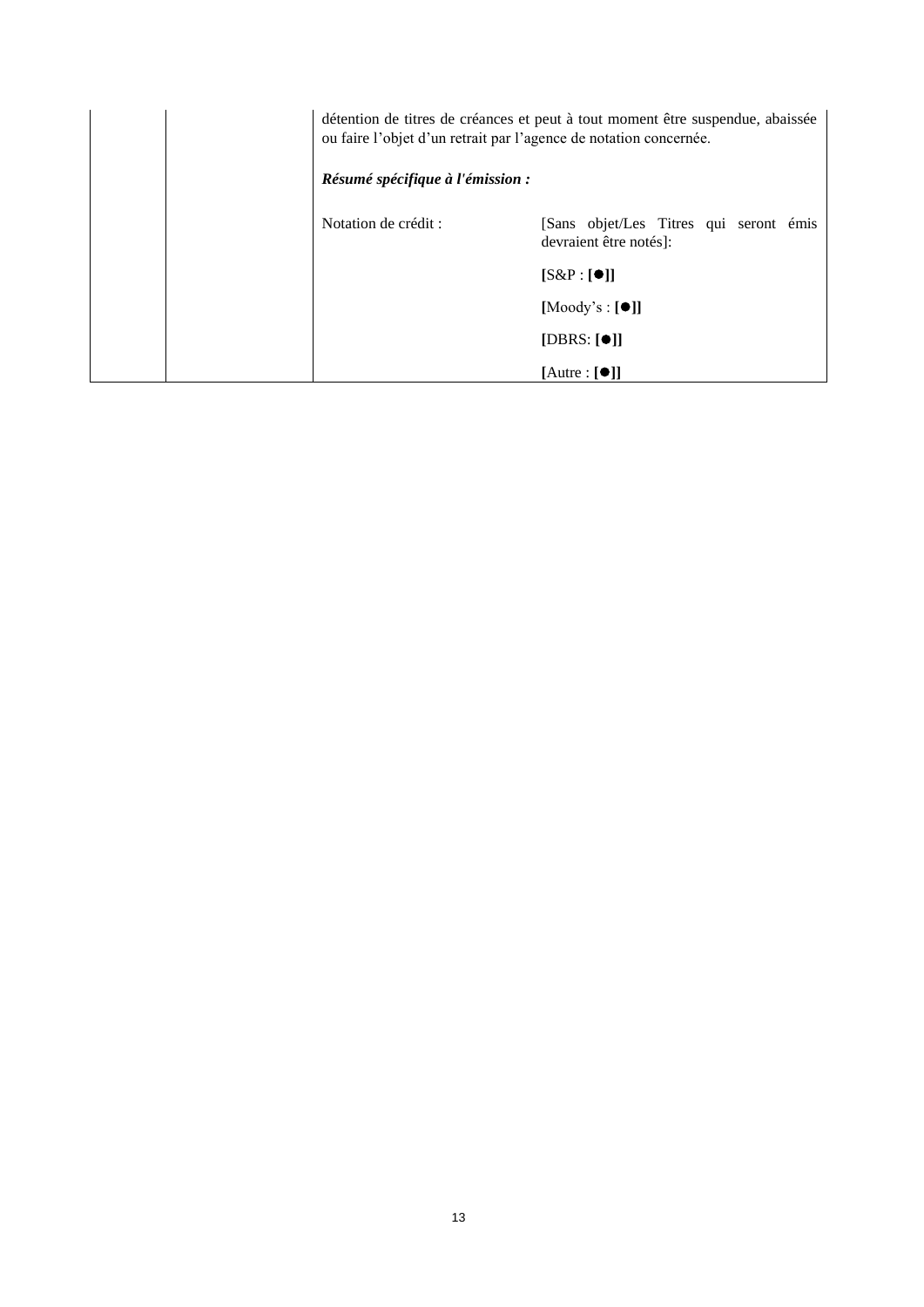|                      | détention de titres de créances et peut à tout moment être suspendue, abaissée<br>ou faire l'objet d'un retrait par l'agence de notation concernée.<br>Résumé spécifique à l'émission : |  |  |
|----------------------|-----------------------------------------------------------------------------------------------------------------------------------------------------------------------------------------|--|--|
| Notation de crédit : | [Sans objet/Les Titres qui seront émis<br>devraient être notés]:                                                                                                                        |  |  |
|                      | $[S\&P:[\bullet]]$                                                                                                                                                                      |  |  |
|                      | $[Mody's : [\bullet]]$                                                                                                                                                                  |  |  |
|                      | [DBRS: $[①]$ ]                                                                                                                                                                          |  |  |
|                      | $[{\text{Autre}} : [\bullet]]$                                                                                                                                                          |  |  |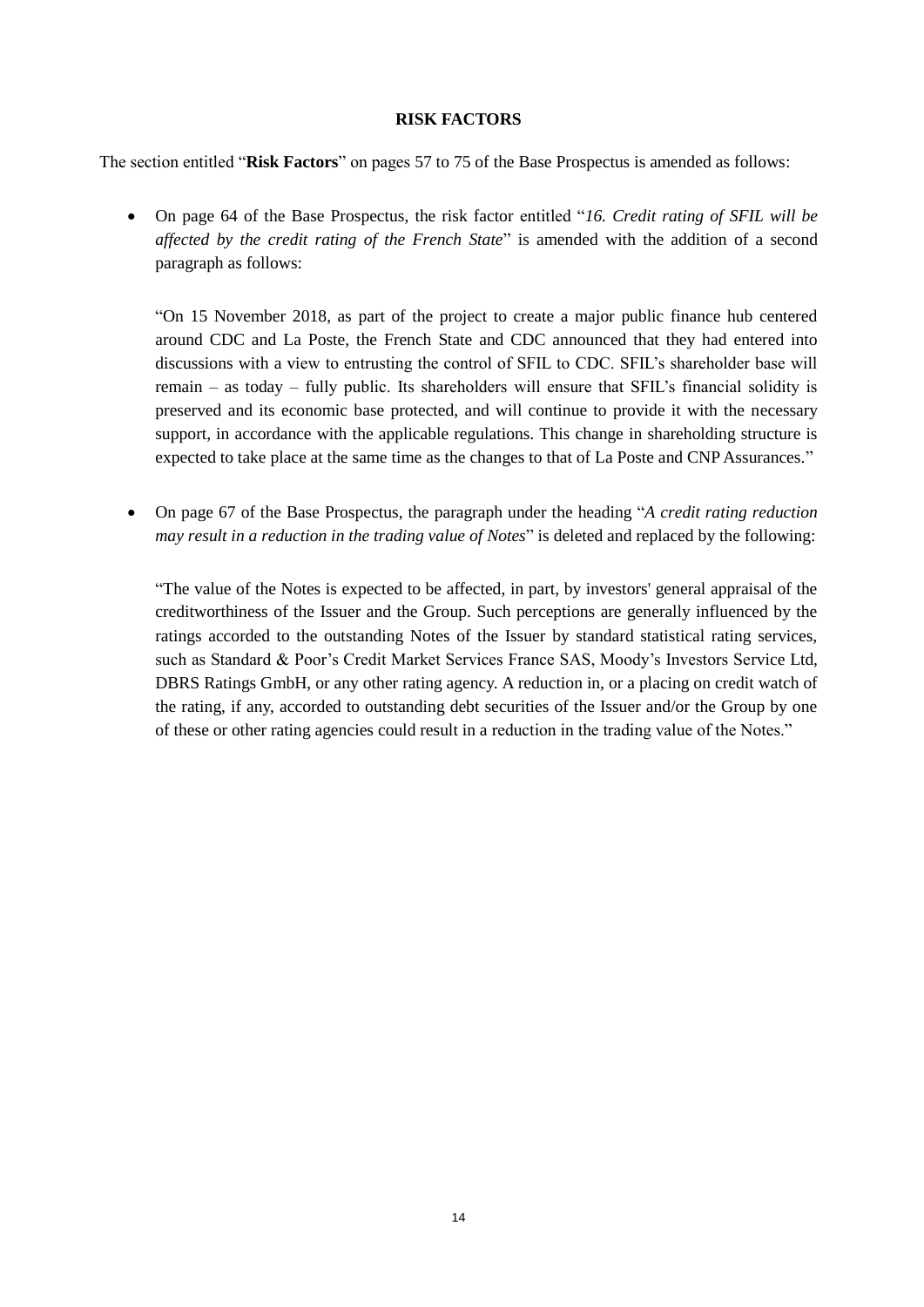#### **RISK FACTORS**

<span id="page-13-0"></span>The section entitled "**Risk Factors**" on pages 57 to 75 of the Base Prospectus is amended as follows:

 On page 64 of the Base Prospectus, the risk factor entitled "*16. Credit rating of SFIL will be affected by the credit rating of the French State*" is amended with the addition of a second paragraph as follows:

"On 15 November 2018, as part of the project to create a major public finance hub centered around CDC and La Poste, the French State and CDC announced that they had entered into discussions with a view to entrusting the control of SFIL to CDC. SFIL's shareholder base will remain – as today – fully public. Its shareholders will ensure that SFIL's financial solidity is preserved and its economic base protected, and will continue to provide it with the necessary support, in accordance with the applicable regulations. This change in shareholding structure is expected to take place at the same time as the changes to that of La Poste and CNP Assurances."

 On page 67 of the Base Prospectus, the paragraph under the heading "*A credit rating reduction may result in a reduction in the trading value of Notes*" is deleted and replaced by the following:

"The value of the Notes is expected to be affected, in part, by investors' general appraisal of the creditworthiness of the Issuer and the Group. Such perceptions are generally influenced by the ratings accorded to the outstanding Notes of the Issuer by standard statistical rating services, such as Standard & Poor's Credit Market Services France SAS, Moody's Investors Service Ltd, DBRS Ratings GmbH, or any other rating agency. A reduction in, or a placing on credit watch of the rating, if any, accorded to outstanding debt securities of the Issuer and/or the Group by one of these or other rating agencies could result in a reduction in the trading value of the Notes."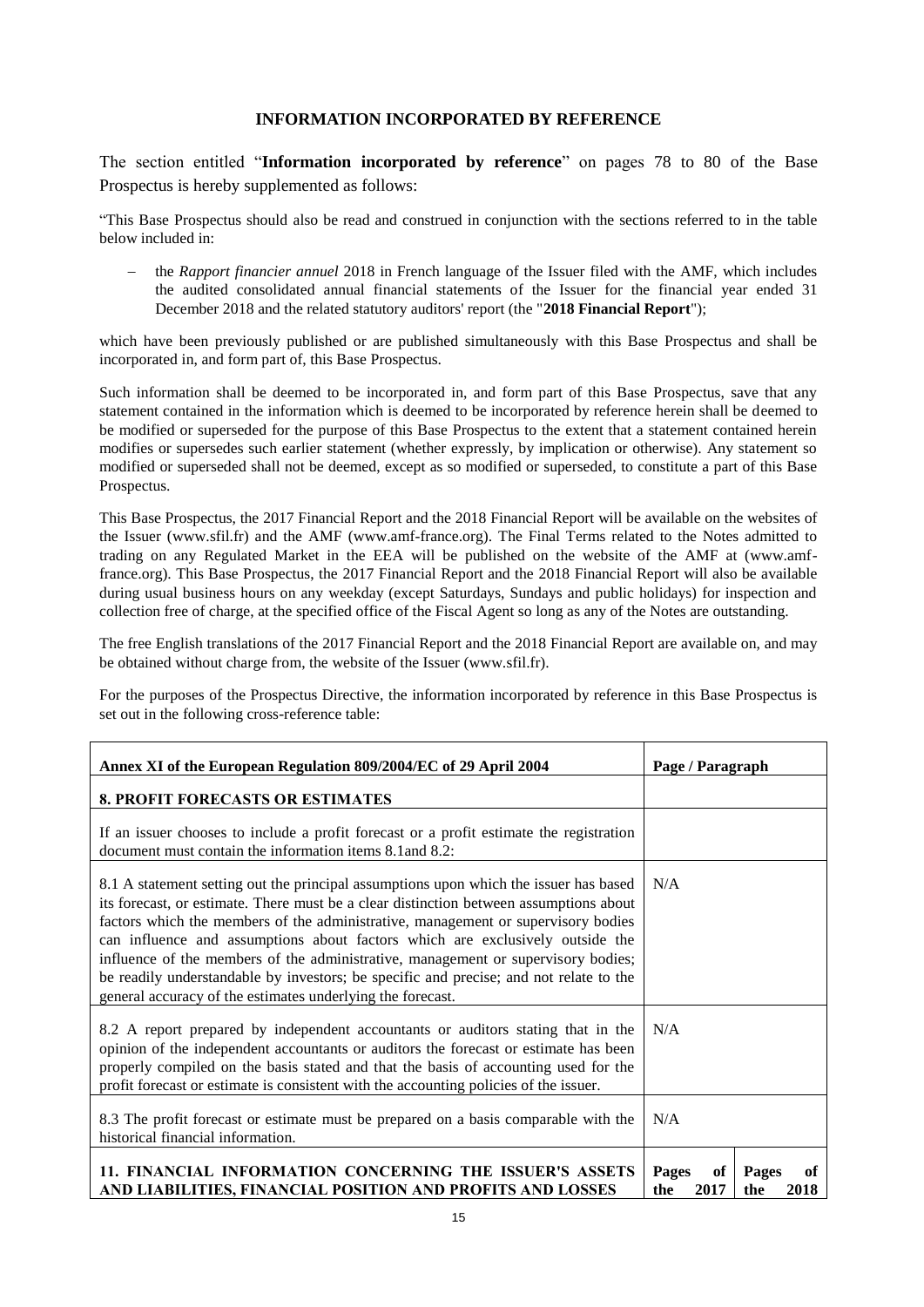#### **INFORMATION INCORPORATED BY REFERENCE**

<span id="page-14-0"></span>The section entitled "**Information incorporated by reference**" on pages 78 to 80 of the Base Prospectus is hereby supplemented as follows:

"This Base Prospectus should also be read and construed in conjunction with the sections referred to in the table below included in:

 the *Rapport financier annuel* 2018 in French language of the Issuer filed with the AMF, which includes the audited consolidated annual financial statements of the Issuer for the financial year ended 31 December 2018 and the related statutory auditors' report (the "**2018 Financial Report**");

which have been previously published or are published simultaneously with this Base Prospectus and shall be incorporated in, and form part of, this Base Prospectus.

Such information shall be deemed to be incorporated in, and form part of this Base Prospectus, save that any statement contained in the information which is deemed to be incorporated by reference herein shall be deemed to be modified or superseded for the purpose of this Base Prospectus to the extent that a statement contained herein modifies or supersedes such earlier statement (whether expressly, by implication or otherwise). Any statement so modified or superseded shall not be deemed, except as so modified or superseded, to constitute a part of this Base Prospectus.

This Base Prospectus, the 2017 Financial Report and the 2018 Financial Report will be available on the websites of the Issuer (www.sfil.fr) and the AMF (www.amf-france.org). The Final Terms related to the Notes admitted to trading on any Regulated Market in the EEA will be published on the website of the AMF at (www.amffrance.org). This Base Prospectus, the 2017 Financial Report and the 2018 Financial Report will also be available during usual business hours on any weekday (except Saturdays, Sundays and public holidays) for inspection and collection free of charge, at the specified office of the Fiscal Agent so long as any of the Notes are outstanding.

The free English translations of the 2017 Financial Report and the 2018 Financial Report are available on, and may be obtained without charge from, the website of the Issuer (www.sfil.fr).

For the purposes of the Prospectus Directive, the information incorporated by reference in this Base Prospectus is set out in the following cross-reference table:

| Annex XI of the European Regulation 809/2004/EC of 29 April 2004                                                                                                                                                                                                                                                                                                                                                                                                                                                                                                                                   | Page / Paragraph                                         |  |  |
|----------------------------------------------------------------------------------------------------------------------------------------------------------------------------------------------------------------------------------------------------------------------------------------------------------------------------------------------------------------------------------------------------------------------------------------------------------------------------------------------------------------------------------------------------------------------------------------------------|----------------------------------------------------------|--|--|
| <b>8. PROFIT FORECASTS OR ESTIMATES</b>                                                                                                                                                                                                                                                                                                                                                                                                                                                                                                                                                            |                                                          |  |  |
| If an issuer chooses to include a profit forecast or a profit estimate the registration<br>document must contain the information items 8.1 and 8.2:                                                                                                                                                                                                                                                                                                                                                                                                                                                |                                                          |  |  |
| 8.1 A statement setting out the principal assumptions upon which the issuer has based<br>its forecast, or estimate. There must be a clear distinction between assumptions about<br>factors which the members of the administrative, management or supervisory bodies<br>can influence and assumptions about factors which are exclusively outside the<br>influence of the members of the administrative, management or supervisory bodies;<br>be readily understandable by investors; be specific and precise; and not relate to the<br>general accuracy of the estimates underlying the forecast. | N/A                                                      |  |  |
| 8.2 A report prepared by independent accountants or auditors stating that in the<br>opinion of the independent accountants or auditors the forecast or estimate has been<br>properly compiled on the basis stated and that the basis of accounting used for the<br>profit forecast or estimate is consistent with the accounting policies of the issuer.                                                                                                                                                                                                                                           | N/A                                                      |  |  |
| 8.3 The profit forecast or estimate must be prepared on a basis comparable with the<br>historical financial information.                                                                                                                                                                                                                                                                                                                                                                                                                                                                           | N/A                                                      |  |  |
| 11. FINANCIAL INFORMATION CONCERNING THE ISSUER'S ASSETS<br>AND LIABILITIES, FINANCIAL POSITION AND PROFITS AND LOSSES                                                                                                                                                                                                                                                                                                                                                                                                                                                                             | Pages<br>of<br>Pages<br>of<br>the<br>2017<br>2018<br>the |  |  |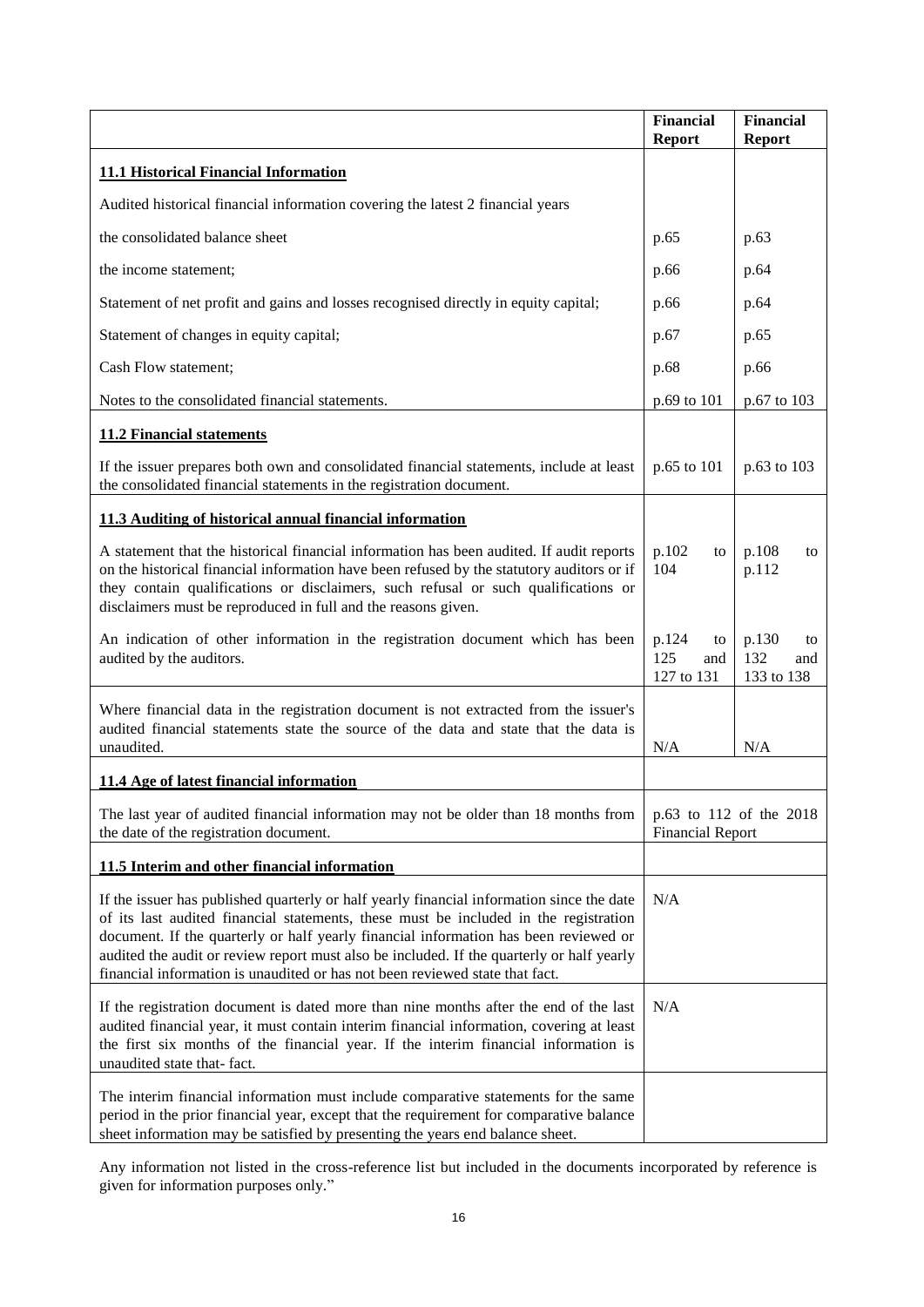|                                                                                                                                                                                                                                                                                                                                                                                                                                                        | <b>Financial</b><br><b>Report</b>                  | <b>Financial</b><br><b>Report</b>       |
|--------------------------------------------------------------------------------------------------------------------------------------------------------------------------------------------------------------------------------------------------------------------------------------------------------------------------------------------------------------------------------------------------------------------------------------------------------|----------------------------------------------------|-----------------------------------------|
| <b>11.1 Historical Financial Information</b>                                                                                                                                                                                                                                                                                                                                                                                                           |                                                    |                                         |
| Audited historical financial information covering the latest 2 financial years                                                                                                                                                                                                                                                                                                                                                                         |                                                    |                                         |
| the consolidated balance sheet                                                                                                                                                                                                                                                                                                                                                                                                                         | p.65                                               | p.63                                    |
| the income statement;                                                                                                                                                                                                                                                                                                                                                                                                                                  | p.66                                               | p.64                                    |
| Statement of net profit and gains and losses recognised directly in equity capital;                                                                                                                                                                                                                                                                                                                                                                    | p.66                                               | p.64                                    |
| Statement of changes in equity capital;                                                                                                                                                                                                                                                                                                                                                                                                                | p.67                                               | p.65                                    |
| Cash Flow statement;                                                                                                                                                                                                                                                                                                                                                                                                                                   | p.68                                               | p.66                                    |
| Notes to the consolidated financial statements.                                                                                                                                                                                                                                                                                                                                                                                                        | p.69 to 101                                        | p.67 to 103                             |
| <b>11.2 Financial statements</b>                                                                                                                                                                                                                                                                                                                                                                                                                       |                                                    |                                         |
| If the issuer prepares both own and consolidated financial statements, include at least<br>the consolidated financial statements in the registration document.                                                                                                                                                                                                                                                                                         | p.65 to 101                                        | p.63 to 103                             |
| 11.3 Auditing of historical annual financial information                                                                                                                                                                                                                                                                                                                                                                                               |                                                    |                                         |
| A statement that the historical financial information has been audited. If audit reports<br>on the historical financial information have been refused by the statutory auditors or if<br>they contain qualifications or disclaimers, such refusal or such qualifications or<br>disclaimers must be reproduced in full and the reasons given.                                                                                                           | p.102<br>to<br>104                                 | p.108<br>to<br>p.112                    |
| An indication of other information in the registration document which has been<br>audited by the auditors.                                                                                                                                                                                                                                                                                                                                             | p.124<br>to<br>125<br>and<br>127 to 131            | p.130<br>to<br>132<br>and<br>133 to 138 |
| Where financial data in the registration document is not extracted from the issuer's<br>audited financial statements state the source of the data and state that the data is<br>unaudited.                                                                                                                                                                                                                                                             | N/A                                                | N/A                                     |
| 11.4 Age of latest financial information                                                                                                                                                                                                                                                                                                                                                                                                               |                                                    |                                         |
| The last year of audited financial information may not be older than 18 months from<br>the date of the registration document.                                                                                                                                                                                                                                                                                                                          | p.63 to 112 of the 2018<br><b>Financial Report</b> |                                         |
| 11.5 Interim and other financial information                                                                                                                                                                                                                                                                                                                                                                                                           |                                                    |                                         |
| If the issuer has published quarterly or half yearly financial information since the date<br>of its last audited financial statements, these must be included in the registration<br>document. If the quarterly or half yearly financial information has been reviewed or<br>audited the audit or review report must also be included. If the quarterly or half yearly<br>financial information is unaudited or has not been reviewed state that fact. | N/A                                                |                                         |
| If the registration document is dated more than nine months after the end of the last<br>audited financial year, it must contain interim financial information, covering at least<br>the first six months of the financial year. If the interim financial information is<br>unaudited state that-fact.                                                                                                                                                 | N/A                                                |                                         |
| The interim financial information must include comparative statements for the same<br>period in the prior financial year, except that the requirement for comparative balance<br>sheet information may be satisfied by presenting the years end balance sheet.                                                                                                                                                                                         |                                                    |                                         |

Any information not listed in the cross-reference list but included in the documents incorporated by reference is given for information purposes only."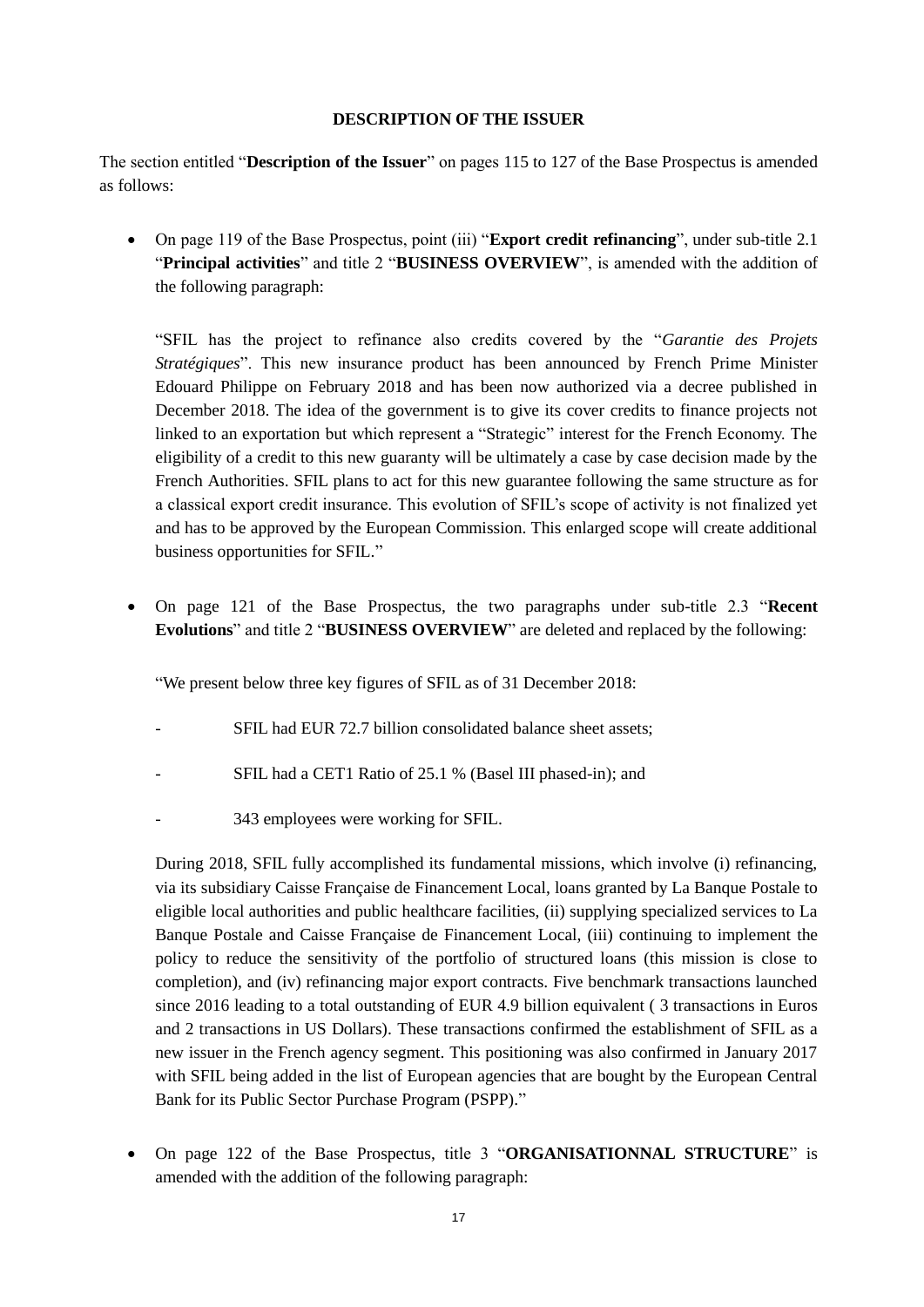#### **DESCRIPTION OF THE ISSUER**

<span id="page-16-0"></span>The section entitled "**Description of the Issuer**" on pages 115 to 127 of the Base Prospectus is amended as follows:

 On page 119 of the Base Prospectus, point (iii) "**Export credit refinancing**", under sub-title 2.1 "**Principal activities**" and title 2 "**BUSINESS OVERVIEW**", is amended with the addition of the following paragraph:

"SFIL has the project to refinance also credits covered by the "*Garantie des Projets Stratégiques*". This new insurance product has been announced by French Prime Minister Edouard Philippe on February 2018 and has been now authorized via a decree published in December 2018. The idea of the government is to give its cover credits to finance projects not linked to an exportation but which represent a "Strategic" interest for the French Economy. The eligibility of a credit to this new guaranty will be ultimately a case by case decision made by the French Authorities. SFIL plans to act for this new guarantee following the same structure as for a classical export credit insurance. This evolution of SFIL's scope of activity is not finalized yet and has to be approved by the European Commission. This enlarged scope will create additional business opportunities for SFIL."

 On page 121 of the Base Prospectus, the two paragraphs under sub-title 2.3 "**Recent Evolutions**" and title 2 "**BUSINESS OVERVIEW**" are deleted and replaced by the following:

"We present below three key figures of SFIL as of 31 December 2018:

- SFIL had EUR 72.7 billion consolidated balance sheet assets:
- SFIL had a CET1 Ratio of 25.1 % (Basel III phased-in); and
- 343 employees were working for SFIL.

During 2018, SFIL fully accomplished its fundamental missions, which involve (i) refinancing, via its subsidiary Caisse Française de Financement Local, loans granted by La Banque Postale to eligible local authorities and public healthcare facilities, (ii) supplying specialized services to La Banque Postale and Caisse Française de Financement Local, (iii) continuing to implement the policy to reduce the sensitivity of the portfolio of structured loans (this mission is close to completion), and (iv) refinancing major export contracts. Five benchmark transactions launched since 2016 leading to a total outstanding of EUR 4.9 billion equivalent ( 3 transactions in Euros and 2 transactions in US Dollars). These transactions confirmed the establishment of SFIL as a new issuer in the French agency segment. This positioning was also confirmed in January 2017 with SFIL being added in the list of European agencies that are bought by the European Central Bank for its Public Sector Purchase Program (PSPP)."

 On page 122 of the Base Prospectus, title 3 "**ORGANISATIONNAL STRUCTURE**" is amended with the addition of the following paragraph: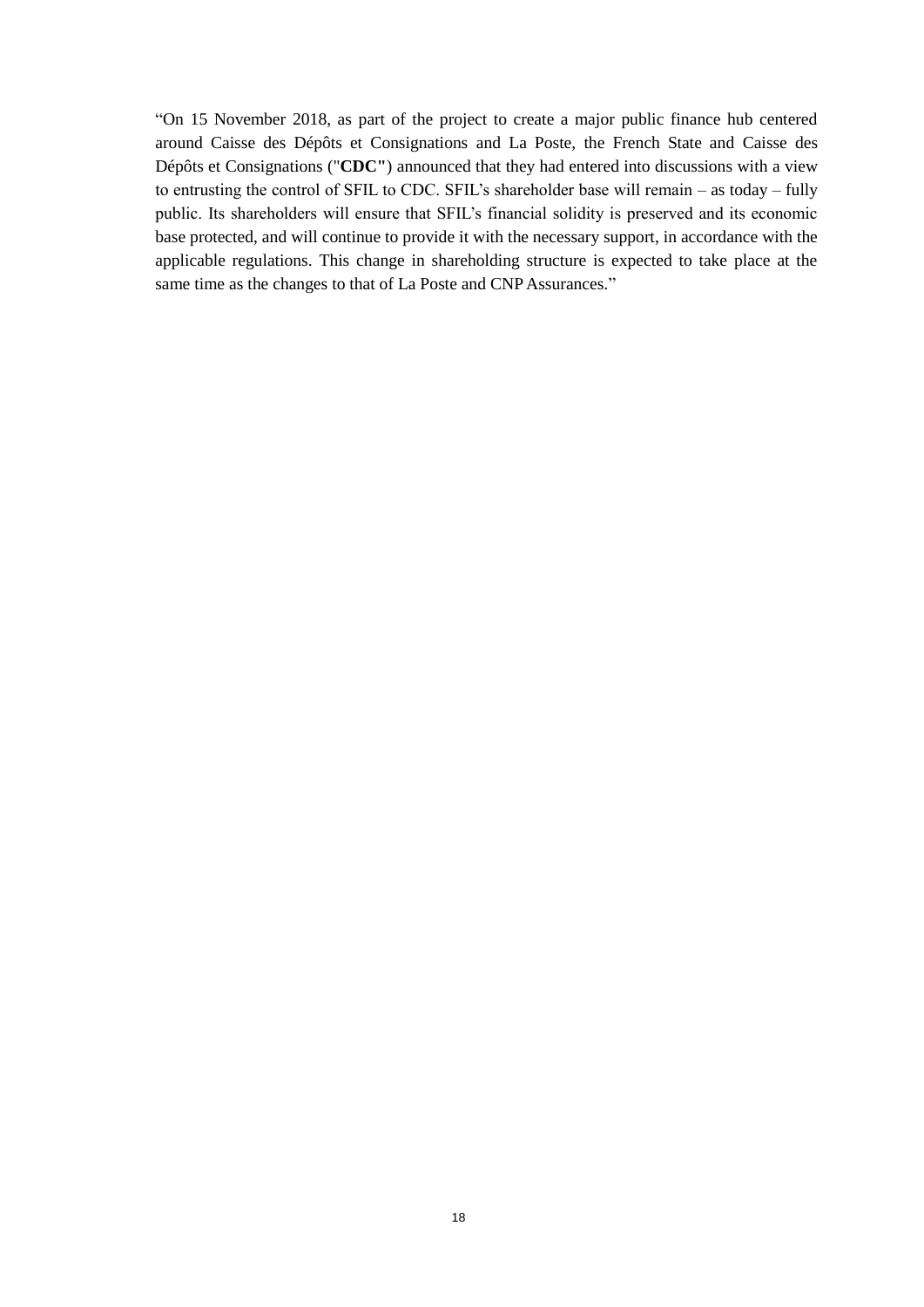"On 15 November 2018, as part of the project to create a major public finance hub centered around Caisse des Dépôts et Consignations and La Poste, the French State and Caisse des Dépôts et Consignations ("**CDC"**) announced that they had entered into discussions with a view to entrusting the control of SFIL to CDC. SFIL's shareholder base will remain – as today – fully public. Its shareholders will ensure that SFIL's financial solidity is preserved and its economic base protected, and will continue to provide it with the necessary support, in accordance with the applicable regulations. This change in shareholding structure is expected to take place at the same time as the changes to that of La Poste and CNP Assurances."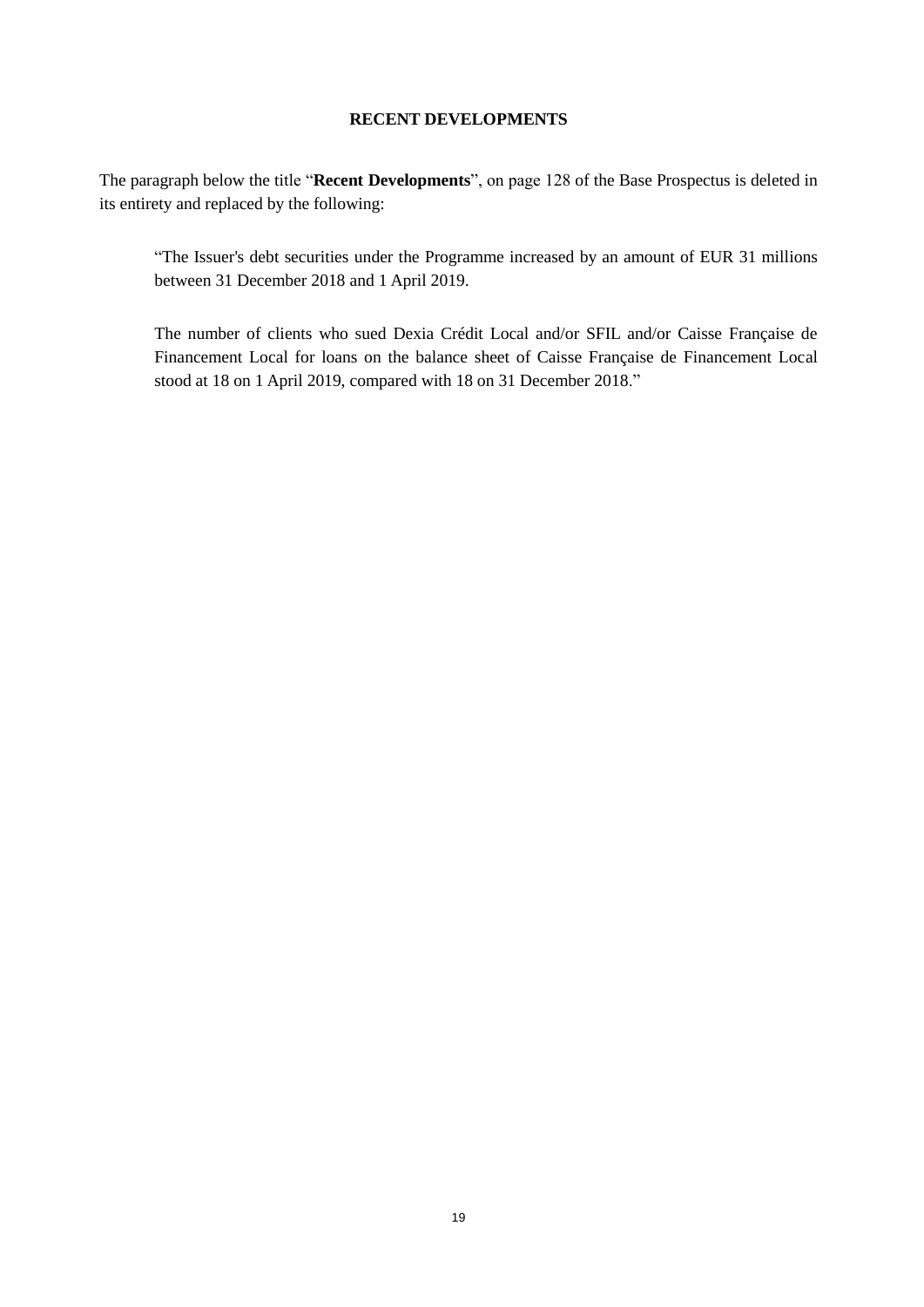### **RECENT DEVELOPMENTS**

<span id="page-18-0"></span>The paragraph below the title "**Recent Developments**", on page 128 of the Base Prospectus is deleted in its entirety and replaced by the following:

"The Issuer's debt securities under the Programme increased by an amount of EUR 31 millions between 31 December 2018 and 1 April 2019.

The number of clients who sued Dexia Crédit Local and/or SFIL and/or Caisse Française de Financement Local for loans on the balance sheet of Caisse Française de Financement Local stood at 18 on 1 April 2019, compared with 18 on 31 December 2018."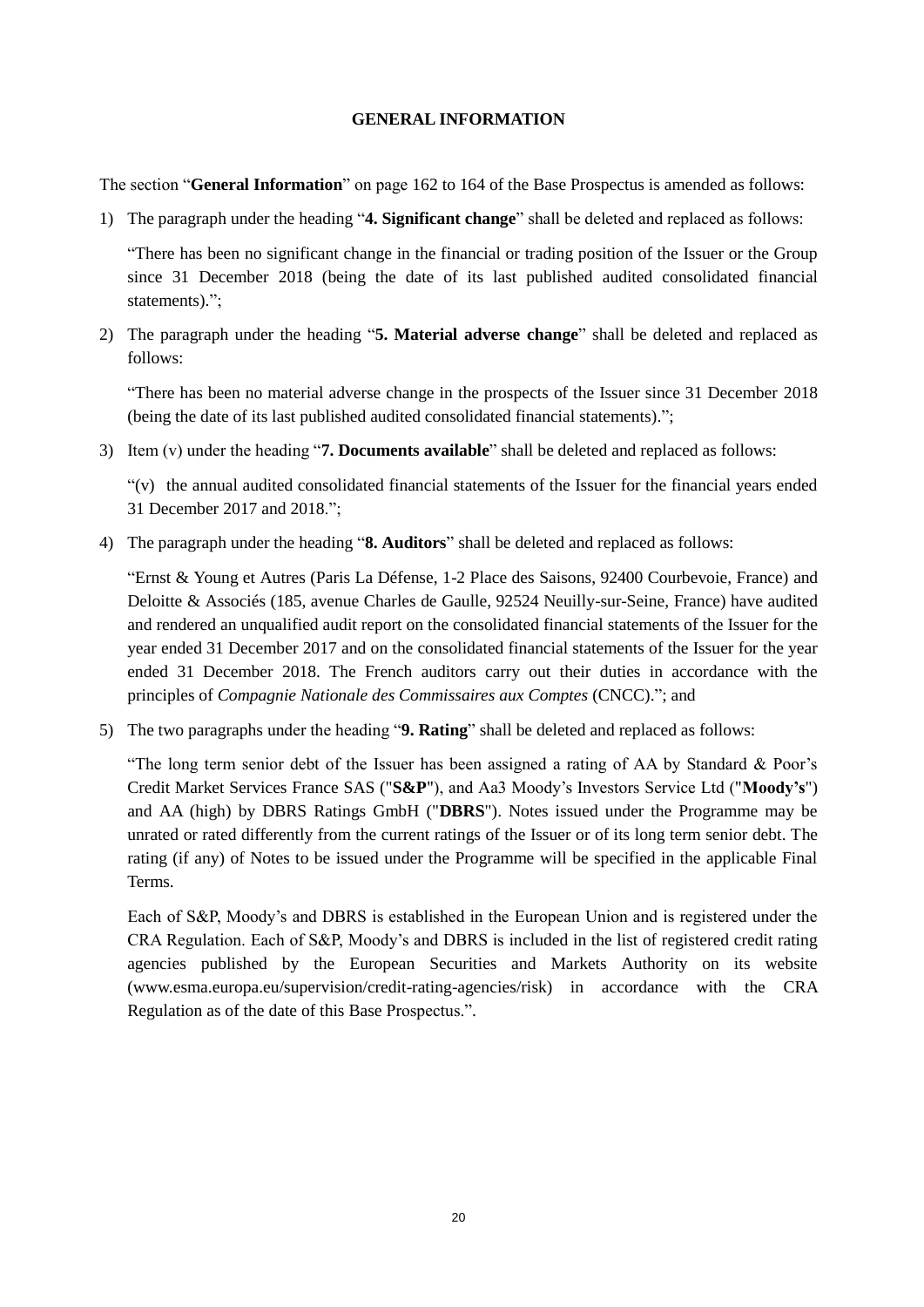### **GENERAL INFORMATION**

<span id="page-19-0"></span>The section "**General Information**" on page 162 to 164 of the Base Prospectus is amended as follows:

1) The paragraph under the heading "**4. Significant change**" shall be deleted and replaced as follows:

"There has been no significant change in the financial or trading position of the Issuer or the Group since 31 December 2018 (being the date of its last published audited consolidated financial statements).":

2) The paragraph under the heading "**5. Material adverse change**" shall be deleted and replaced as follows:

"There has been no material adverse change in the prospects of the Issuer since 31 December 2018 (being the date of its last published audited consolidated financial statements).";

3) Item (v) under the heading "**7. Documents available**" shall be deleted and replaced as follows:

"(v) the annual audited consolidated financial statements of the Issuer for the financial years ended 31 December 2017 and 2018.";

4) The paragraph under the heading "**8. Auditors**" shall be deleted and replaced as follows:

"Ernst & Young et Autres (Paris La Défense, 1-2 Place des Saisons, 92400 Courbevoie, France) and Deloitte & Associés (185, avenue Charles de Gaulle, 92524 Neuilly-sur-Seine, France) have audited and rendered an unqualified audit report on the consolidated financial statements of the Issuer for the year ended 31 December 2017 and on the consolidated financial statements of the Issuer for the year ended 31 December 2018. The French auditors carry out their duties in accordance with the principles of *Compagnie Nationale des Commissaires aux Comptes* (CNCC)."; and

5) The two paragraphs under the heading "**9. Rating**" shall be deleted and replaced as follows:

"The long term senior debt of the Issuer has been assigned a rating of AA by Standard  $\&$  Poor's Credit Market Services France SAS ("**S&P**"), and Aa3 Moody's Investors Service Ltd ("**Moody's**") and AA (high) by DBRS Ratings GmbH ("**DBRS**"). Notes issued under the Programme may be unrated or rated differently from the current ratings of the Issuer or of its long term senior debt. The rating (if any) of Notes to be issued under the Programme will be specified in the applicable Final Terms.

Each of S&P, Moody's and DBRS is established in the European Union and is registered under the CRA Regulation. Each of S&P, Moody's and DBRS is included in the list of registered credit rating agencies published by the European Securities and Markets Authority on its website (www.esma.europa.eu/supervision/credit-rating-agencies/risk) in accordance with the CRA Regulation as of the date of this Base Prospectus.".